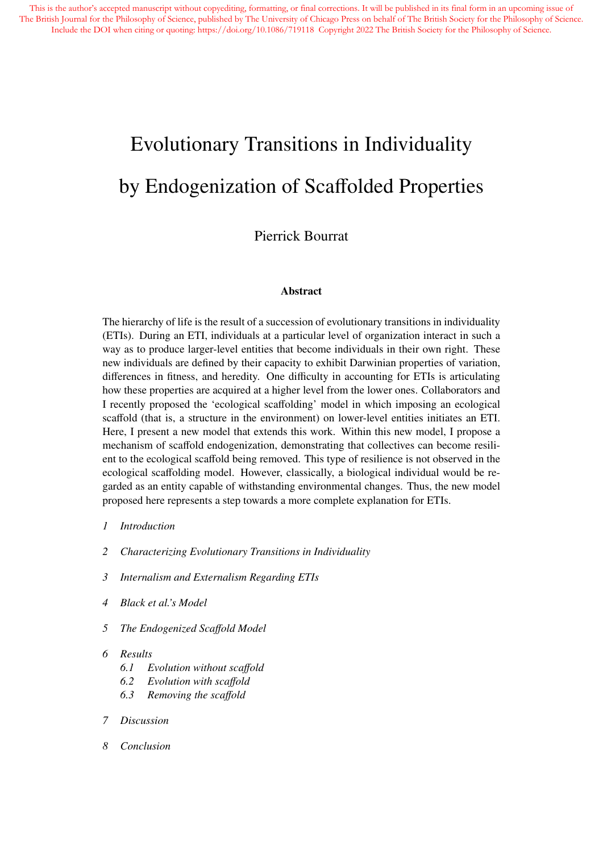# Evolutionary Transitions in Individuality by Endogenization of Scaffolded Properties

# Pierrick Bourrat

#### Abstract

The hierarchy of life is the result of a succession of evolutionary transitions in individuality (ETIs). During an ETI, individuals at a particular level of organization interact in such a way as to produce larger-level entities that become individuals in their own right. These new individuals are defined by their capacity to exhibit Darwinian properties of variation, differences in fitness, and heredity. One difficulty in accounting for ETIs is articulating how these properties are acquired at a higher level from the lower ones. Collaborators and I recently proposed the 'ecological scaffolding' model in which imposing an ecological scaffold (that is, a structure in the environment) on lower-level entities initiates an ETI. Here, I present a new model that extends this work. Within this new model, I propose a mechanism of scaffold endogenization, demonstrating that collectives can become resilient to the ecological scaffold being removed. This type of resilience is not observed in the ecological scaffolding model. However, classically, a biological individual would be regarded as an entity capable of withstanding environmental changes. Thus, the new model proposed here represents a step towards a more complete explanation for ETIs.

- *1 Introduction*
- *2 Characterizing Evolutionary Transitions in Individuality*
- *3 Internalism and Externalism Regarding ETIs*
- *4 Black et al.'s Model*
- *5 The Endogenized Sca*ff*old Model*
- *6 Results*
	- *6.1 Evolution without sca*ff*old*
	- *6.2 Evolution with sca*ff*old*
	- *6.3 Removing the sca*ff*old*
- *7 Discussion*
- *8 Conclusion*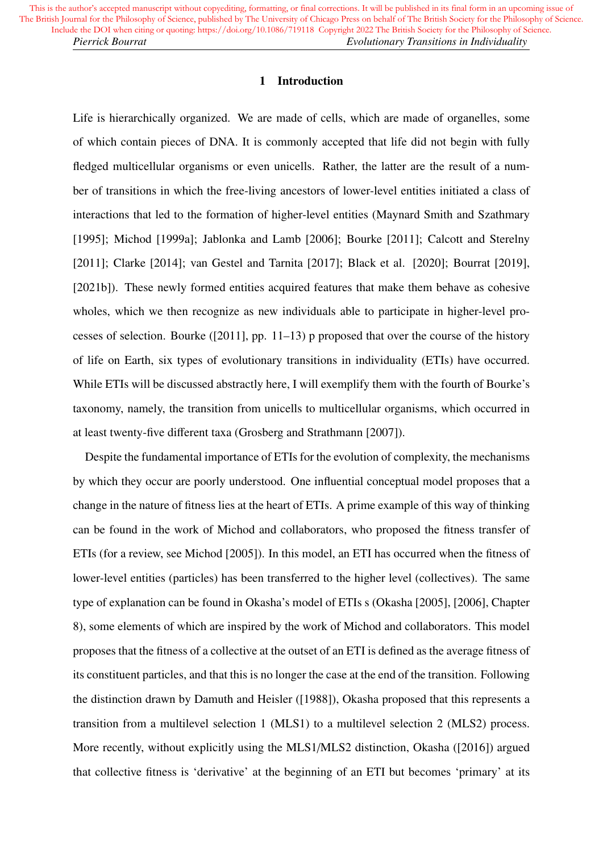#### 1 Introduction

Life is hierarchically organized. We are made of cells, which are made of organelles, some of which contain pieces of DNA. It is commonly accepted that life did not begin with fully fledged multicellular organisms or even unicells. Rather, the latter are the result of a number of transitions in which the free-living ancestors of lower-level entities initiated a class of interactions that led to the formation of higher-level entities (Maynard Smith and Szathmary [1995]; Michod [1999a]; Jablonka and Lamb [2006]; Bourke [2011]; Calcott and Sterelny [2011]; Clarke [2014]; van Gestel and Tarnita [2017]; Black et al. [2020]; Bourrat [2019], [2021b]). These newly formed entities acquired features that make them behave as cohesive wholes, which we then recognize as new individuals able to participate in higher-level processes of selection. Bourke ([2011], pp. 11–13) p proposed that over the course of the history of life on Earth, six types of evolutionary transitions in individuality (ETIs) have occurred. While ETIs will be discussed abstractly here, I will exemplify them with the fourth of Bourke's taxonomy, namely, the transition from unicells to multicellular organisms, which occurred in at least twenty-five different taxa (Grosberg and Strathmann [2007]).

Despite the fundamental importance of ETIs for the evolution of complexity, the mechanisms by which they occur are poorly understood. One influential conceptual model proposes that a change in the nature of fitness lies at the heart of ETIs. A prime example of this way of thinking can be found in the work of Michod and collaborators, who proposed the fitness transfer of ETIs (for a review, see Michod [2005]). In this model, an ETI has occurred when the fitness of lower-level entities (particles) has been transferred to the higher level (collectives). The same type of explanation can be found in Okasha's model of ETIs s (Okasha [2005], [2006], Chapter 8), some elements of which are inspired by the work of Michod and collaborators. This model proposes that the fitness of a collective at the outset of an ETI is defined as the average fitness of its constituent particles, and that this is no longer the case at the end of the transition. Following the distinction drawn by Damuth and Heisler ([1988]), Okasha proposed that this represents a transition from a multilevel selection 1 (MLS1) to a multilevel selection 2 (MLS2) process. More recently, without explicitly using the MLS1/MLS2 distinction, Okasha ([2016]) argued that collective fitness is 'derivative' at the beginning of an ETI but becomes 'primary' at its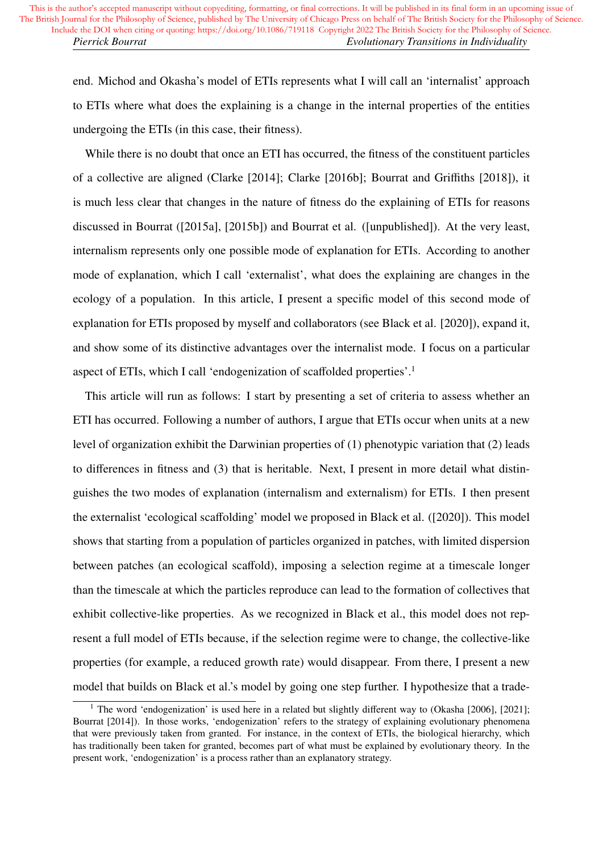end. Michod and Okasha's model of ETIs represents what I will call an 'internalist' approach to ETIs where what does the explaining is a change in the internal properties of the entities undergoing the ETIs (in this case, their fitness).

While there is no doubt that once an ETI has occurred, the fitness of the constituent particles of a collective are aligned (Clarke [2014]; Clarke [2016b]; Bourrat and Griffiths [2018]), it is much less clear that changes in the nature of fitness do the explaining of ETIs for reasons discussed in Bourrat ([2015a], [2015b]) and Bourrat et al. ([unpublished]). At the very least, internalism represents only one possible mode of explanation for ETIs. According to another mode of explanation, which I call 'externalist', what does the explaining are changes in the ecology of a population. In this article, I present a specific model of this second mode of explanation for ETIs proposed by myself and collaborators (see Black et al. [2020]), expand it, and show some of its distinctive advantages over the internalist mode. I focus on a particular aspect of ETIs, which I call 'endogenization of scaffolded properties'.<sup>1</sup>

This article will run as follows: I start by presenting a set of criteria to assess whether an ETI has occurred. Following a number of authors, I argue that ETIs occur when units at a new level of organization exhibit the Darwinian properties of (1) phenotypic variation that (2) leads to differences in fitness and (3) that is heritable. Next, I present in more detail what distinguishes the two modes of explanation (internalism and externalism) for ETIs. I then present the externalist 'ecological scaffolding' model we proposed in Black et al. ([2020]). This model shows that starting from a population of particles organized in patches, with limited dispersion between patches (an ecological scaffold), imposing a selection regime at a timescale longer than the timescale at which the particles reproduce can lead to the formation of collectives that exhibit collective-like properties. As we recognized in Black et al., this model does not represent a full model of ETIs because, if the selection regime were to change, the collective-like properties (for example, a reduced growth rate) would disappear. From there, I present a new model that builds on Black et al.'s model by going one step further. I hypothesize that a trade-

<sup>&</sup>lt;sup>1</sup> The word 'endogenization' is used here in a related but slightly different way to (Okasha [2006], [2021]; Bourrat [2014]). In those works, 'endogenization' refers to the strategy of explaining evolutionary phenomena that were previously taken from granted. For instance, in the context of ETIs, the biological hierarchy, which has traditionally been taken for granted, becomes part of what must be explained by evolutionary theory. In the present work, 'endogenization' is a process rather than an explanatory strategy.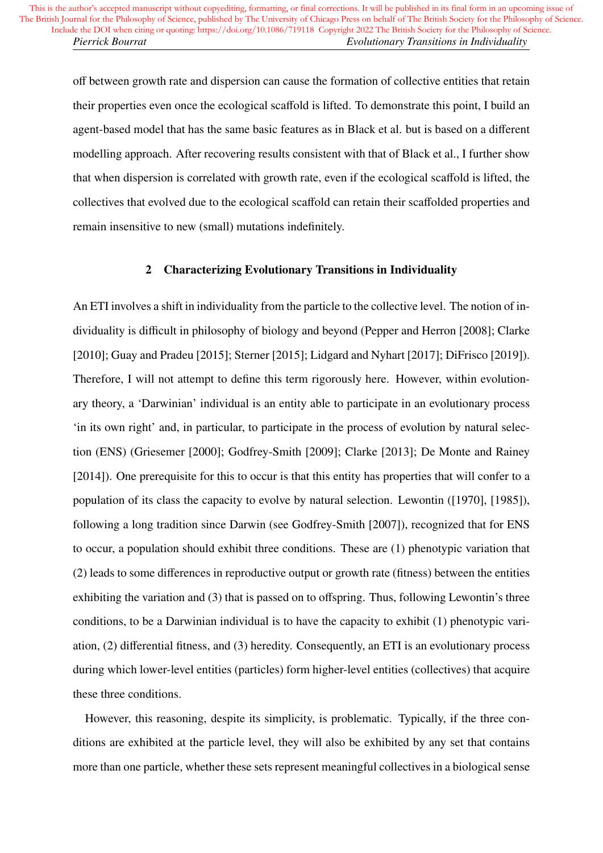off between growth rate and dispersion can cause the formation of collective entities that retain their properties even once the ecological scaffold is lifted. To demonstrate this point, I build an agent-based model that has the same basic features as in Black et al. but is based on a different modelling approach. After recovering results consistent with that of Black et al., I further show that when dispersion is correlated with growth rate, even if the ecological scaffold is lifted, the collectives that evolved due to the ecological scaffold can retain their scaffolded properties and remain insensitive to new (small) mutations indefinitely.

# 2 Characterizing Evolutionary Transitions in Individuality

An ETI involves a shift in individuality from the particle to the collective level. The notion of individuality is difficult in philosophy of biology and beyond (Pepper and Herron [2008]; Clarke [2010]; Guay and Pradeu [2015]; Sterner [2015]; Lidgard and Nyhart [2017]; DiFrisco [2019]). Therefore, I will not attempt to define this term rigorously here. However, within evolutionary theory, a 'Darwinian' individual is an entity able to participate in an evolutionary process 'in its own right' and, in particular, to participate in the process of evolution by natural selection (ENS) (Griesemer [2000]; Godfrey-Smith [2009]; Clarke [2013]; De Monte and Rainey [2014]). One prerequisite for this to occur is that this entity has properties that will confer to a population of its class the capacity to evolve by natural selection. Lewontin ([1970], [1985]), following a long tradition since Darwin (see Godfrey-Smith [2007]), recognized that for ENS to occur, a population should exhibit three conditions. These are (1) phenotypic variation that (2) leads to some differences in reproductive output or growth rate (fitness) between the entities exhibiting the variation and (3) that is passed on to offspring. Thus, following Lewontin's three conditions, to be a Darwinian individual is to have the capacity to exhibit (1) phenotypic variation, (2) differential fitness, and (3) heredity. Consequently, an ETI is an evolutionary process during which lower-level entities (particles) form higher-level entities (collectives) that acquire these three conditions.

However, this reasoning, despite its simplicity, is problematic. Typically, if the three conditions are exhibited at the particle level, they will also be exhibited by any set that contains more than one particle, whether these sets represent meaningful collectives in a biological sense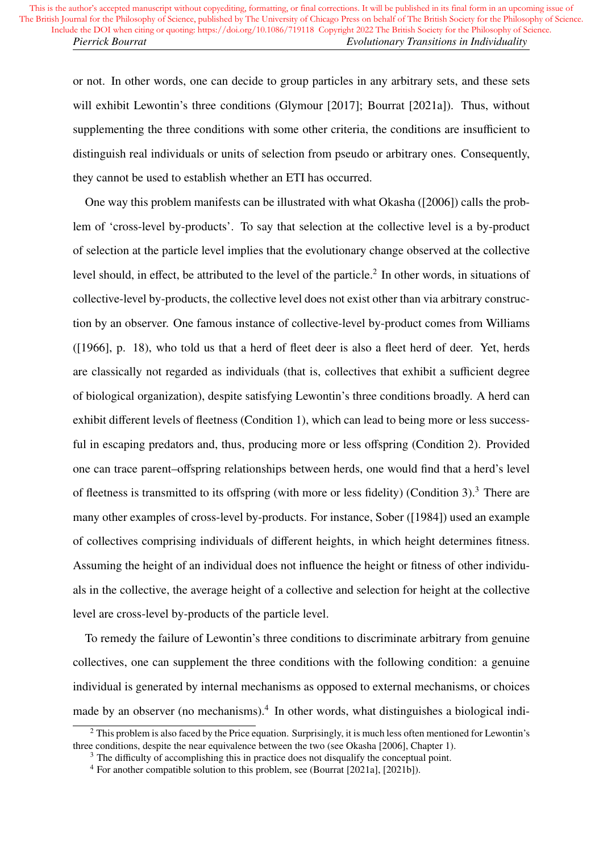or not. In other words, one can decide to group particles in any arbitrary sets, and these sets will exhibit Lewontin's three conditions (Glymour [2017]; Bourrat [2021a]). Thus, without supplementing the three conditions with some other criteria, the conditions are insufficient to distinguish real individuals or units of selection from pseudo or arbitrary ones. Consequently, they cannot be used to establish whether an ETI has occurred.

One way this problem manifests can be illustrated with what Okasha ([2006]) calls the problem of 'cross-level by-products'. To say that selection at the collective level is a by-product of selection at the particle level implies that the evolutionary change observed at the collective level should, in effect, be attributed to the level of the particle.<sup>2</sup> In other words, in situations of collective-level by-products, the collective level does not exist other than via arbitrary construction by an observer. One famous instance of collective-level by-product comes from Williams ([1966], p. 18), who told us that a herd of fleet deer is also a fleet herd of deer. Yet, herds are classically not regarded as individuals (that is, collectives that exhibit a sufficient degree of biological organization), despite satisfying Lewontin's three conditions broadly. A herd can exhibit different levels of fleetness (Condition 1), which can lead to being more or less successful in escaping predators and, thus, producing more or less offspring (Condition 2). Provided one can trace parent–offspring relationships between herds, one would find that a herd's level of fleetness is transmitted to its offspring (with more or less fidelity) (Condition 3).<sup>3</sup> There are many other examples of cross-level by-products. For instance, Sober ([1984]) used an example of collectives comprising individuals of different heights, in which height determines fitness. Assuming the height of an individual does not influence the height or fitness of other individuals in the collective, the average height of a collective and selection for height at the collective level are cross-level by-products of the particle level.

To remedy the failure of Lewontin's three conditions to discriminate arbitrary from genuine collectives, one can supplement the three conditions with the following condition: a genuine individual is generated by internal mechanisms as opposed to external mechanisms, or choices made by an observer (no mechanisms).<sup>4</sup> In other words, what distinguishes a biological indi-

 $2$  This problem is also faced by the Price equation. Surprisingly, it is much less often mentioned for Lewontin's three conditions, despite the near equivalence between the two (see Okasha [2006], Chapter 1).

<sup>&</sup>lt;sup>3</sup> The difficulty of accomplishing this in practice does not disqualify the conceptual point.

<sup>4</sup> For another compatible solution to this problem, see (Bourrat [2021a], [2021b]).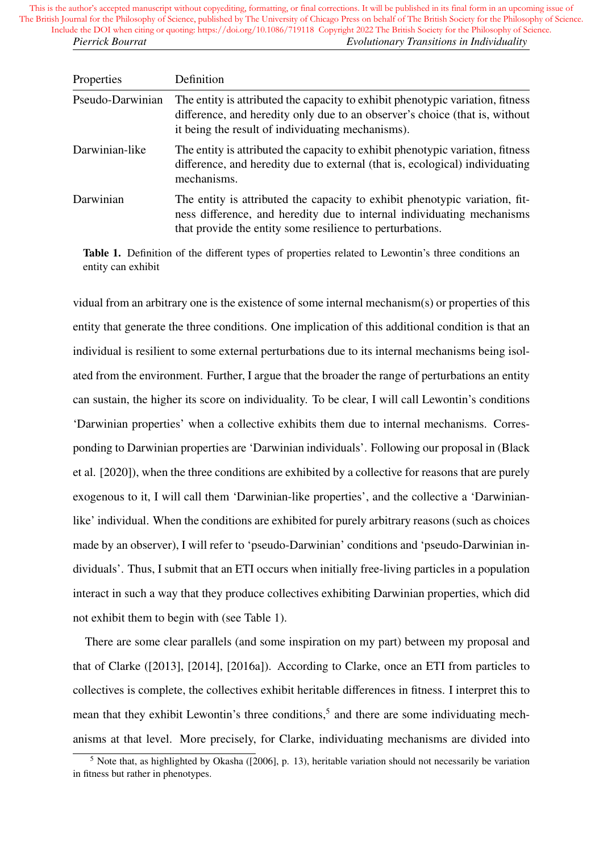| Properties       | Definition                                                                                                                                                                                                         |
|------------------|--------------------------------------------------------------------------------------------------------------------------------------------------------------------------------------------------------------------|
| Pseudo-Darwinian | The entity is attributed the capacity to exhibit phenotypic variation, fitness<br>difference, and heredity only due to an observer's choice (that is, without<br>it being the result of individuating mechanisms). |
| Darwinian-like   | The entity is attributed the capacity to exhibit phenotypic variation, fitness<br>difference, and heredity due to external (that is, ecological) individuating<br>mechanisms.                                      |
| Darwinian        | The entity is attributed the capacity to exhibit phenotypic variation, fit-<br>ness difference, and heredity due to internal individuating mechanisms<br>that provide the entity some resilience to perturbations. |

Table 1. Definition of the different types of properties related to Lewontin's three conditions an entity can exhibit

vidual from an arbitrary one is the existence of some internal mechanism(s) or properties of this entity that generate the three conditions. One implication of this additional condition is that an individual is resilient to some external perturbations due to its internal mechanisms being isolated from the environment. Further, I argue that the broader the range of perturbations an entity can sustain, the higher its score on individuality. To be clear, I will call Lewontin's conditions 'Darwinian properties' when a collective exhibits them due to internal mechanisms. Corresponding to Darwinian properties are 'Darwinian individuals'. Following our proposal in (Black et al. [2020]), when the three conditions are exhibited by a collective for reasons that are purely exogenous to it, I will call them 'Darwinian-like properties', and the collective a 'Darwinianlike' individual. When the conditions are exhibited for purely arbitrary reasons (such as choices made by an observer), I will refer to 'pseudo-Darwinian' conditions and 'pseudo-Darwinian individuals'. Thus, I submit that an ETI occurs when initially free-living particles in a population interact in such a way that they produce collectives exhibiting Darwinian properties, which did not exhibit them to begin with (see Table 1).

There are some clear parallels (and some inspiration on my part) between my proposal and that of Clarke ([2013], [2014], [2016a]). According to Clarke, once an ETI from particles to collectives is complete, the collectives exhibit heritable differences in fitness. I interpret this to mean that they exhibit Lewontin's three conditions,<sup>5</sup> and there are some individuating mechanisms at that level. More precisely, for Clarke, individuating mechanisms are divided into

<sup>&</sup>lt;sup>5</sup> Note that, as highlighted by Okasha ([2006], p. 13), heritable variation should not necessarily be variation in fitness but rather in phenotypes.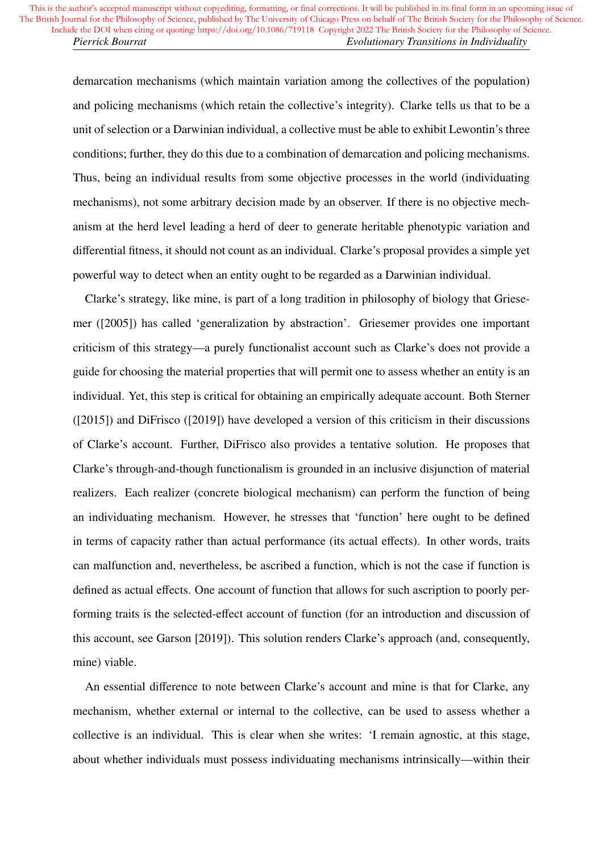demarcation mechanisms (which maintain variation among the collectives of the population) and policing mechanisms (which retain the collective's integrity). Clarke tells us that to be a unit of selection or a Darwinian individual, a collective must be able to exhibit Lewontin's three conditions; further, they do this due to a combination of demarcation and policing mechanisms. Thus, being an individual results from some objective processes in the world (individuating mechanisms), not some arbitrary decision made by an observer. If there is no objective mechanism at the herd level leading a herd of deer to generate heritable phenotypic variation and differential fitness, it should not count as an individual. Clarke's proposal provides a simple yet powerful way to detect when an entity ought to be regarded as a Darwinian individual.

Clarke's strategy, like mine, is part of a long tradition in philosophy of biology that Griesemer ([2005]) has called 'generalization by abstraction'. Griesemer provides one important criticism of this strategy—a purely functionalist account such as Clarke's does not provide a guide for choosing the material properties that will permit one to assess whether an entity is an individual. Yet, this step is critical for obtaining an empirically adequate account. Both Sterner ([2015]) and DiFrisco ([2019]) have developed a version of this criticism in their discussions of Clarke's account. Further, DiFrisco also provides a tentative solution. He proposes that Clarke's through-and-though functionalism is grounded in an inclusive disjunction of material realizers. Each realizer (concrete biological mechanism) can perform the function of being an individuating mechanism. However, he stresses that 'function' here ought to be defined in terms of capacity rather than actual performance (its actual effects). In other words, traits can malfunction and, nevertheless, be ascribed a function, which is not the case if function is defined as actual effects. One account of function that allows for such ascription to poorly performing traits is the selected-effect account of function (for an introduction and discussion of this account, see Garson [2019]). This solution renders Clarke's approach (and, consequently, mine) viable.

An essential difference to note between Clarke's account and mine is that for Clarke, any mechanism, whether external or internal to the collective, can be used to assess whether a collective is an individual. This is clear when she writes: 'I remain agnostic, at this stage, about whether individuals must possess individuating mechanisms intrinsically—within their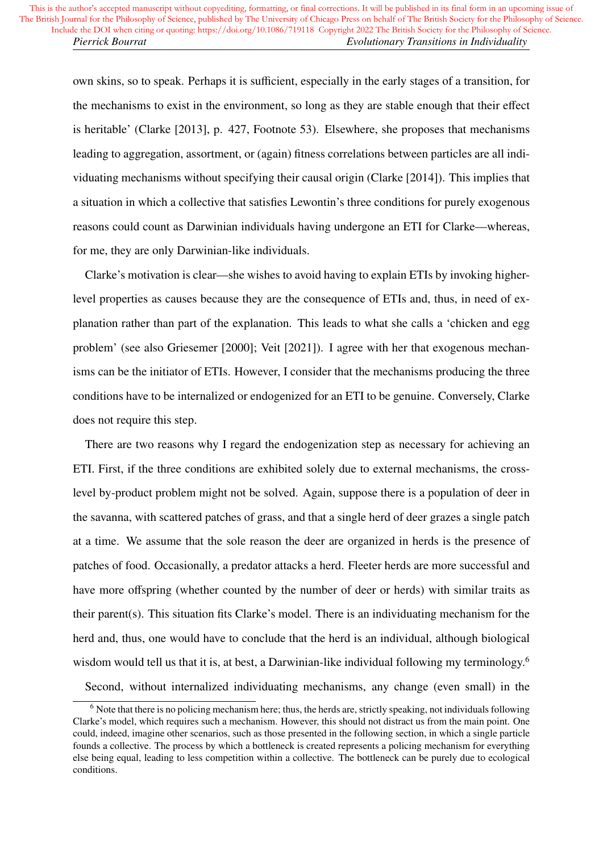own skins, so to speak. Perhaps it is sufficient, especially in the early stages of a transition, for the mechanisms to exist in the environment, so long as they are stable enough that their effect is heritable' (Clarke [2013], p. 427, Footnote 53). Elsewhere, she proposes that mechanisms leading to aggregation, assortment, or (again) fitness correlations between particles are all individuating mechanisms without specifying their causal origin (Clarke [2014]). This implies that a situation in which a collective that satisfies Lewontin's three conditions for purely exogenous reasons could count as Darwinian individuals having undergone an ETI for Clarke—whereas, for me, they are only Darwinian-like individuals.

Clarke's motivation is clear—she wishes to avoid having to explain ETIs by invoking higherlevel properties as causes because they are the consequence of ETIs and, thus, in need of explanation rather than part of the explanation. This leads to what she calls a 'chicken and egg problem' (see also Griesemer [2000]; Veit [2021]). I agree with her that exogenous mechanisms can be the initiator of ETIs. However, I consider that the mechanisms producing the three conditions have to be internalized or endogenized for an ETI to be genuine. Conversely, Clarke does not require this step.

There are two reasons why I regard the endogenization step as necessary for achieving an ETI. First, if the three conditions are exhibited solely due to external mechanisms, the crosslevel by-product problem might not be solved. Again, suppose there is a population of deer in the savanna, with scattered patches of grass, and that a single herd of deer grazes a single patch at a time. We assume that the sole reason the deer are organized in herds is the presence of patches of food. Occasionally, a predator attacks a herd. Fleeter herds are more successful and have more offspring (whether counted by the number of deer or herds) with similar traits as their parent(s). This situation fits Clarke's model. There is an individuating mechanism for the herd and, thus, one would have to conclude that the herd is an individual, although biological wisdom would tell us that it is, at best, a Darwinian-like individual following my terminology.<sup>6</sup>

Second, without internalized individuating mechanisms, any change (even small) in the

<sup>&</sup>lt;sup>6</sup> Note that there is no policing mechanism here; thus, the herds are, strictly speaking, not individuals following Clarke's model, which requires such a mechanism. However, this should not distract us from the main point. One could, indeed, imagine other scenarios, such as those presented in the following section, in which a single particle founds a collective. The process by which a bottleneck is created represents a policing mechanism for everything else being equal, leading to less competition within a collective. The bottleneck can be purely due to ecological conditions.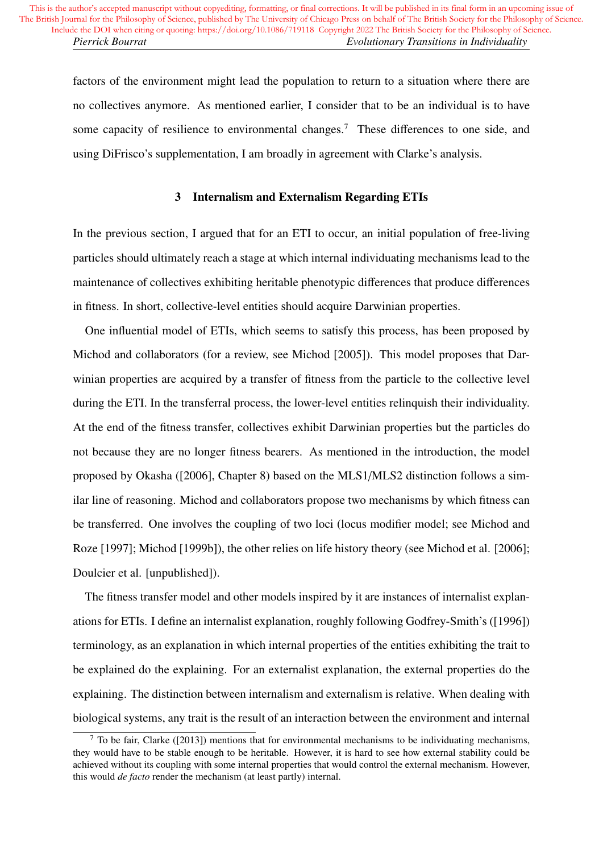factors of the environment might lead the population to return to a situation where there are no collectives anymore. As mentioned earlier, I consider that to be an individual is to have some capacity of resilience to environmental changes.<sup>7</sup> These differences to one side, and using DiFrisco's supplementation, I am broadly in agreement with Clarke's analysis.

# 3 Internalism and Externalism Regarding ETIs

In the previous section, I argued that for an ETI to occur, an initial population of free-living particles should ultimately reach a stage at which internal individuating mechanisms lead to the maintenance of collectives exhibiting heritable phenotypic differences that produce differences in fitness. In short, collective-level entities should acquire Darwinian properties.

One influential model of ETIs, which seems to satisfy this process, has been proposed by Michod and collaborators (for a review, see Michod [2005]). This model proposes that Darwinian properties are acquired by a transfer of fitness from the particle to the collective level during the ETI. In the transferral process, the lower-level entities relinquish their individuality. At the end of the fitness transfer, collectives exhibit Darwinian properties but the particles do not because they are no longer fitness bearers. As mentioned in the introduction, the model proposed by Okasha ([2006], Chapter 8) based on the MLS1/MLS2 distinction follows a similar line of reasoning. Michod and collaborators propose two mechanisms by which fitness can be transferred. One involves the coupling of two loci (locus modifier model; see Michod and Roze [1997]; Michod [1999b]), the other relies on life history theory (see Michod et al. [2006]; Doulcier et al. [unpublished]).

The fitness transfer model and other models inspired by it are instances of internalist explanations for ETIs. I define an internalist explanation, roughly following Godfrey-Smith's ([1996]) terminology, as an explanation in which internal properties of the entities exhibiting the trait to be explained do the explaining. For an externalist explanation, the external properties do the explaining. The distinction between internalism and externalism is relative. When dealing with biological systems, any trait is the result of an interaction between the environment and internal

 $^7$  To be fair, Clarke ([2013]) mentions that for environmental mechanisms to be individuating mechanisms, they would have to be stable enough to be heritable. However, it is hard to see how external stability could be achieved without its coupling with some internal properties that would control the external mechanism. However, this would *de facto* render the mechanism (at least partly) internal.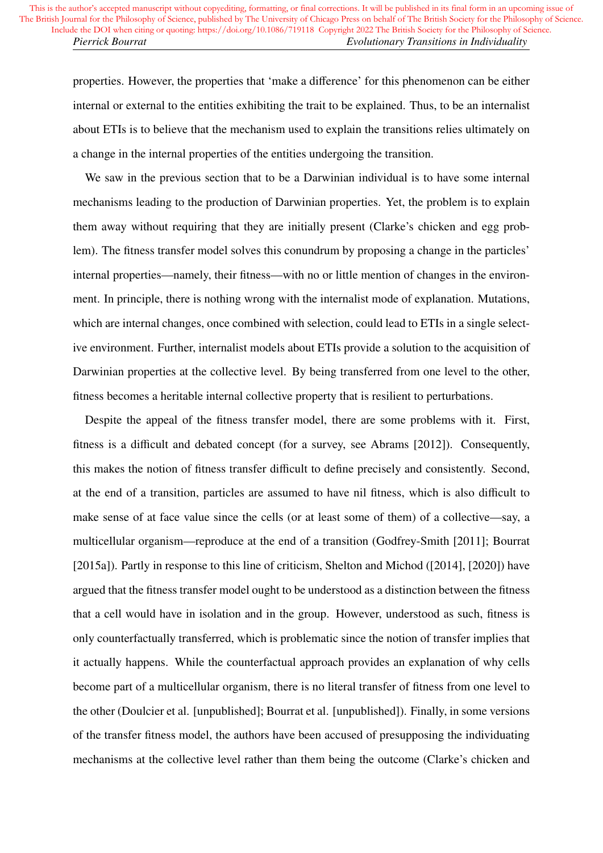properties. However, the properties that 'make a difference' for this phenomenon can be either internal or external to the entities exhibiting the trait to be explained. Thus, to be an internalist about ETIs is to believe that the mechanism used to explain the transitions relies ultimately on a change in the internal properties of the entities undergoing the transition.

We saw in the previous section that to be a Darwinian individual is to have some internal mechanisms leading to the production of Darwinian properties. Yet, the problem is to explain them away without requiring that they are initially present (Clarke's chicken and egg problem). The fitness transfer model solves this conundrum by proposing a change in the particles' internal properties—namely, their fitness—with no or little mention of changes in the environment. In principle, there is nothing wrong with the internalist mode of explanation. Mutations, which are internal changes, once combined with selection, could lead to ETIs in a single selective environment. Further, internalist models about ETIs provide a solution to the acquisition of Darwinian properties at the collective level. By being transferred from one level to the other, fitness becomes a heritable internal collective property that is resilient to perturbations.

Despite the appeal of the fitness transfer model, there are some problems with it. First, fitness is a difficult and debated concept (for a survey, see Abrams [2012]). Consequently, this makes the notion of fitness transfer difficult to define precisely and consistently. Second, at the end of a transition, particles are assumed to have nil fitness, which is also difficult to make sense of at face value since the cells (or at least some of them) of a collective—say, a multicellular organism—reproduce at the end of a transition (Godfrey-Smith [2011]; Bourrat [2015a]). Partly in response to this line of criticism, Shelton and Michod ([2014], [2020]) have argued that the fitness transfer model ought to be understood as a distinction between the fitness that a cell would have in isolation and in the group. However, understood as such, fitness is only counterfactually transferred, which is problematic since the notion of transfer implies that it actually happens. While the counterfactual approach provides an explanation of why cells become part of a multicellular organism, there is no literal transfer of fitness from one level to the other (Doulcier et al. [unpublished]; Bourrat et al. [unpublished]). Finally, in some versions of the transfer fitness model, the authors have been accused of presupposing the individuating mechanisms at the collective level rather than them being the outcome (Clarke's chicken and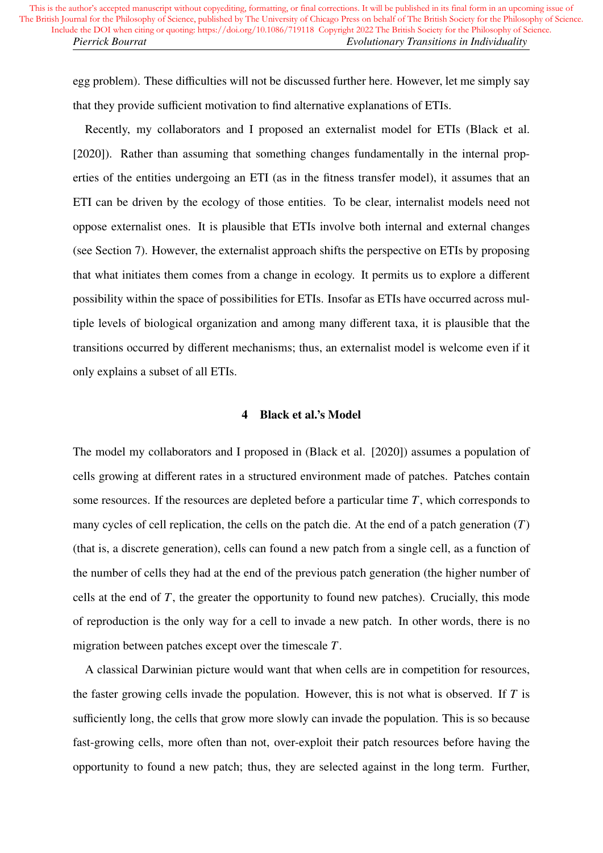egg problem). These difficulties will not be discussed further here. However, let me simply say that they provide sufficient motivation to find alternative explanations of ETIs.

Recently, my collaborators and I proposed an externalist model for ETIs (Black et al. [2020]). Rather than assuming that something changes fundamentally in the internal properties of the entities undergoing an ETI (as in the fitness transfer model), it assumes that an ETI can be driven by the ecology of those entities. To be clear, internalist models need not oppose externalist ones. It is plausible that ETIs involve both internal and external changes (see Section 7). However, the externalist approach shifts the perspective on ETIs by proposing that what initiates them comes from a change in ecology. It permits us to explore a different possibility within the space of possibilities for ETIs. Insofar as ETIs have occurred across multiple levels of biological organization and among many different taxa, it is plausible that the transitions occurred by different mechanisms; thus, an externalist model is welcome even if it only explains a subset of all ETIs.

# 4 Black et al.'s Model

The model my collaborators and I proposed in (Black et al. [2020]) assumes a population of cells growing at different rates in a structured environment made of patches. Patches contain some resources. If the resources are depleted before a particular time *T*, which corresponds to many cycles of cell replication, the cells on the patch die. At the end of a patch generation (*T*) (that is, a discrete generation), cells can found a new patch from a single cell, as a function of the number of cells they had at the end of the previous patch generation (the higher number of cells at the end of *T*, the greater the opportunity to found new patches). Crucially, this mode of reproduction is the only way for a cell to invade a new patch. In other words, there is no migration between patches except over the timescale *T*.

A classical Darwinian picture would want that when cells are in competition for resources, the faster growing cells invade the population. However, this is not what is observed. If *T* is sufficiently long, the cells that grow more slowly can invade the population. This is so because fast-growing cells, more often than not, over-exploit their patch resources before having the opportunity to found a new patch; thus, they are selected against in the long term. Further,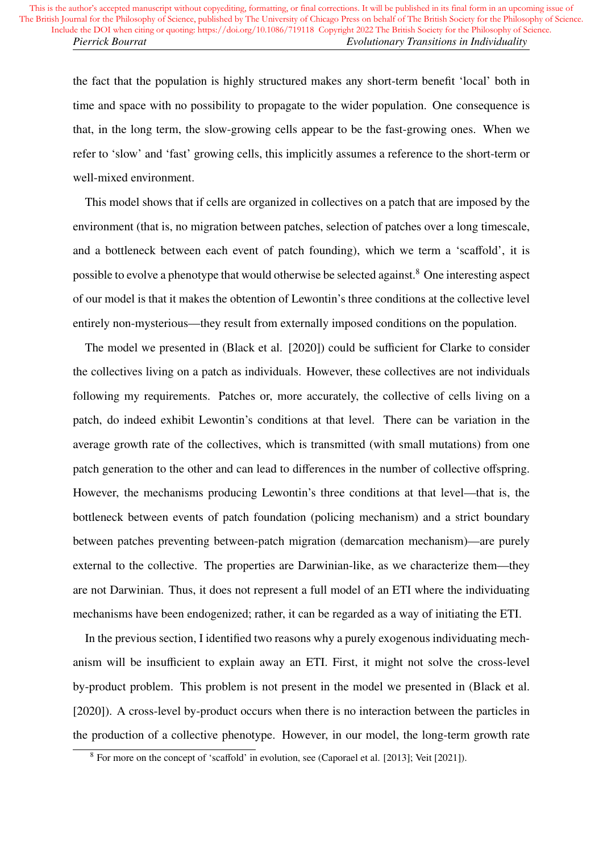the fact that the population is highly structured makes any short-term benefit 'local' both in time and space with no possibility to propagate to the wider population. One consequence is that, in the long term, the slow-growing cells appear to be the fast-growing ones. When we refer to 'slow' and 'fast' growing cells, this implicitly assumes a reference to the short-term or well-mixed environment.

This model shows that if cells are organized in collectives on a patch that are imposed by the environment (that is, no migration between patches, selection of patches over a long timescale, and a bottleneck between each event of patch founding), which we term a 'scaffold', it is possible to evolve a phenotype that would otherwise be selected against.<sup>8</sup> One interesting aspect of our model is that it makes the obtention of Lewontin's three conditions at the collective level entirely non-mysterious—they result from externally imposed conditions on the population.

The model we presented in (Black et al. [2020]) could be sufficient for Clarke to consider the collectives living on a patch as individuals. However, these collectives are not individuals following my requirements. Patches or, more accurately, the collective of cells living on a patch, do indeed exhibit Lewontin's conditions at that level. There can be variation in the average growth rate of the collectives, which is transmitted (with small mutations) from one patch generation to the other and can lead to differences in the number of collective offspring. However, the mechanisms producing Lewontin's three conditions at that level—that is, the bottleneck between events of patch foundation (policing mechanism) and a strict boundary between patches preventing between-patch migration (demarcation mechanism)—are purely external to the collective. The properties are Darwinian-like, as we characterize them—they are not Darwinian. Thus, it does not represent a full model of an ETI where the individuating mechanisms have been endogenized; rather, it can be regarded as a way of initiating the ETI.

In the previous section, I identified two reasons why a purely exogenous individuating mechanism will be insufficient to explain away an ETI. First, it might not solve the cross-level by-product problem. This problem is not present in the model we presented in (Black et al. [2020]). A cross-level by-product occurs when there is no interaction between the particles in the production of a collective phenotype. However, in our model, the long-term growth rate

<sup>8</sup> For more on the concept of 'scaffold' in evolution, see (Caporael et al. [2013]; Veit [2021]).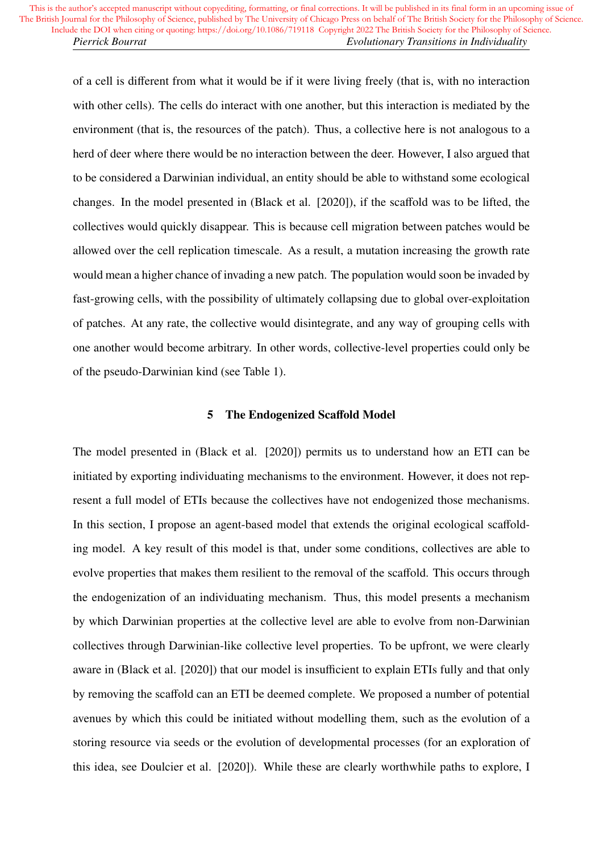of a cell is different from what it would be if it were living freely (that is, with no interaction with other cells). The cells do interact with one another, but this interaction is mediated by the environment (that is, the resources of the patch). Thus, a collective here is not analogous to a herd of deer where there would be no interaction between the deer. However, I also argued that to be considered a Darwinian individual, an entity should be able to withstand some ecological changes. In the model presented in (Black et al. [2020]), if the scaffold was to be lifted, the collectives would quickly disappear. This is because cell migration between patches would be allowed over the cell replication timescale. As a result, a mutation increasing the growth rate would mean a higher chance of invading a new patch. The population would soon be invaded by fast-growing cells, with the possibility of ultimately collapsing due to global over-exploitation of patches. At any rate, the collective would disintegrate, and any way of grouping cells with one another would become arbitrary. In other words, collective-level properties could only be of the pseudo-Darwinian kind (see Table 1).

#### 5 The Endogenized Scaffold Model

The model presented in (Black et al. [2020]) permits us to understand how an ETI can be initiated by exporting individuating mechanisms to the environment. However, it does not represent a full model of ETIs because the collectives have not endogenized those mechanisms. In this section, I propose an agent-based model that extends the original ecological scaffolding model. A key result of this model is that, under some conditions, collectives are able to evolve properties that makes them resilient to the removal of the scaffold. This occurs through the endogenization of an individuating mechanism. Thus, this model presents a mechanism by which Darwinian properties at the collective level are able to evolve from non-Darwinian collectives through Darwinian-like collective level properties. To be upfront, we were clearly aware in (Black et al. [2020]) that our model is insufficient to explain ETIs fully and that only by removing the scaffold can an ETI be deemed complete. We proposed a number of potential avenues by which this could be initiated without modelling them, such as the evolution of a storing resource via seeds or the evolution of developmental processes (for an exploration of this idea, see Doulcier et al. [2020]). While these are clearly worthwhile paths to explore, I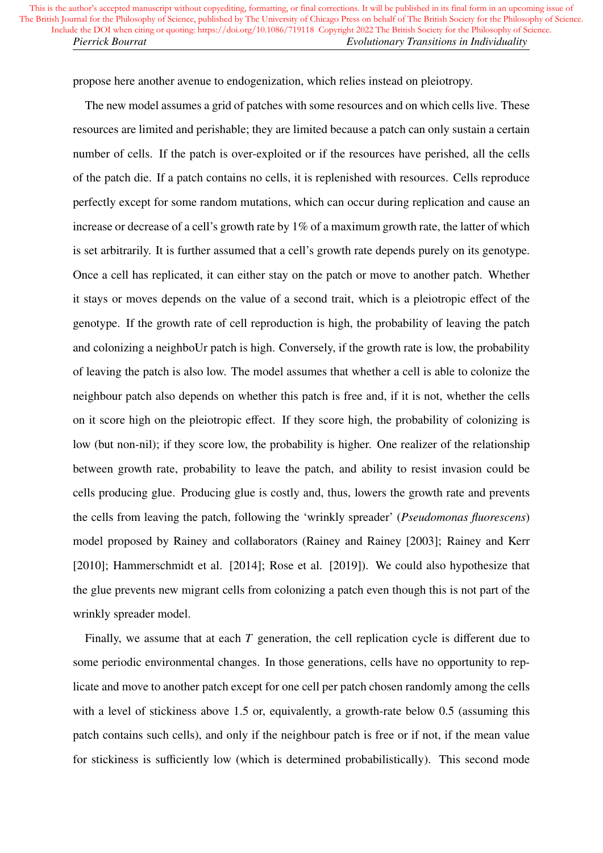propose here another avenue to endogenization, which relies instead on pleiotropy.

The new model assumes a grid of patches with some resources and on which cells live. These resources are limited and perishable; they are limited because a patch can only sustain a certain number of cells. If the patch is over-exploited or if the resources have perished, all the cells of the patch die. If a patch contains no cells, it is replenished with resources. Cells reproduce perfectly except for some random mutations, which can occur during replication and cause an increase or decrease of a cell's growth rate by 1% of a maximum growth rate, the latter of which is set arbitrarily. It is further assumed that a cell's growth rate depends purely on its genotype. Once a cell has replicated, it can either stay on the patch or move to another patch. Whether it stays or moves depends on the value of a second trait, which is a pleiotropic effect of the genotype. If the growth rate of cell reproduction is high, the probability of leaving the patch and colonizing a neighboUr patch is high. Conversely, if the growth rate is low, the probability of leaving the patch is also low. The model assumes that whether a cell is able to colonize the neighbour patch also depends on whether this patch is free and, if it is not, whether the cells on it score high on the pleiotropic effect. If they score high, the probability of colonizing is low (but non-nil); if they score low, the probability is higher. One realizer of the relationship between growth rate, probability to leave the patch, and ability to resist invasion could be cells producing glue. Producing glue is costly and, thus, lowers the growth rate and prevents the cells from leaving the patch, following the 'wrinkly spreader' (*Pseudomonas fluorescens*) model proposed by Rainey and collaborators (Rainey and Rainey [2003]; Rainey and Kerr [2010]; Hammerschmidt et al. [2014]; Rose et al. [2019]). We could also hypothesize that the glue prevents new migrant cells from colonizing a patch even though this is not part of the wrinkly spreader model.

Finally, we assume that at each *T* generation, the cell replication cycle is different due to some periodic environmental changes. In those generations, cells have no opportunity to replicate and move to another patch except for one cell per patch chosen randomly among the cells with a level of stickiness above 1.5 or, equivalently, a growth-rate below 0.5 (assuming this patch contains such cells), and only if the neighbour patch is free or if not, if the mean value for stickiness is sufficiently low (which is determined probabilistically). This second mode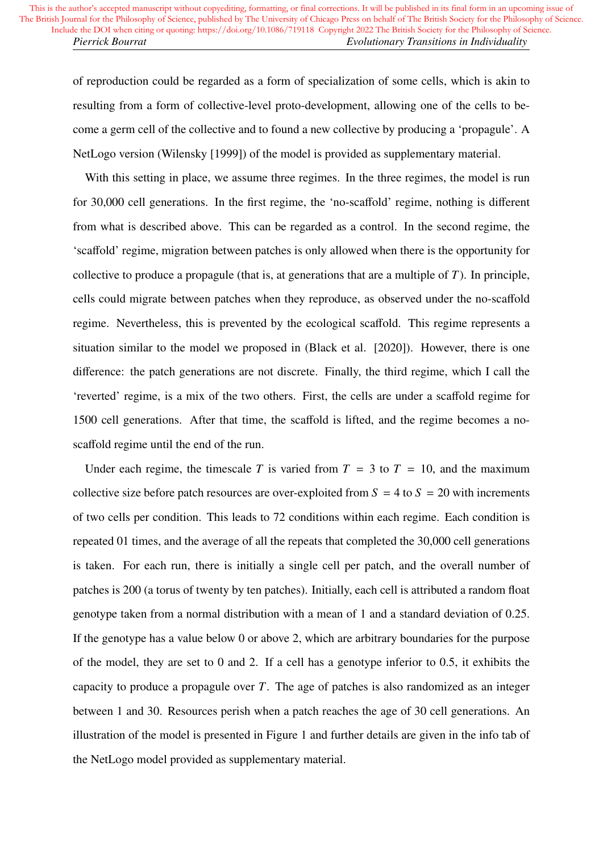of reproduction could be regarded as a form of specialization of some cells, which is akin to resulting from a form of collective-level proto-development, allowing one of the cells to become a germ cell of the collective and to found a new collective by producing a 'propagule'. A NetLogo version (Wilensky [1999]) of the model is provided as supplementary material.

With this setting in place, we assume three regimes. In the three regimes, the model is run for 30,000 cell generations. In the first regime, the 'no-scaffold' regime, nothing is different from what is described above. This can be regarded as a control. In the second regime, the 'scaffold' regime, migration between patches is only allowed when there is the opportunity for collective to produce a propagule (that is, at generations that are a multiple of *T*). In principle, cells could migrate between patches when they reproduce, as observed under the no-scaffold regime. Nevertheless, this is prevented by the ecological scaffold. This regime represents a situation similar to the model we proposed in (Black et al. [2020]). However, there is one difference: the patch generations are not discrete. Finally, the third regime, which I call the 'reverted' regime, is a mix of the two others. First, the cells are under a scaffold regime for 1500 cell generations. After that time, the scaffold is lifted, and the regime becomes a noscaffold regime until the end of the run.

Under each regime, the timescale *T* is varied from  $T = 3$  to  $T = 10$ , and the maximum collective size before patch resources are over-exploited from  $S = 4$  to  $S = 20$  with increments of two cells per condition. This leads to 72 conditions within each regime. Each condition is repeated 01 times, and the average of all the repeats that completed the 30,000 cell generations is taken. For each run, there is initially a single cell per patch, and the overall number of patches is 200 (a torus of twenty by ten patches). Initially, each cell is attributed a random float genotype taken from a normal distribution with a mean of 1 and a standard deviation of 0.25. If the genotype has a value below 0 or above 2, which are arbitrary boundaries for the purpose of the model, they are set to 0 and 2. If a cell has a genotype inferior to 0.5, it exhibits the capacity to produce a propagule over *T*. The age of patches is also randomized as an integer between 1 and 30. Resources perish when a patch reaches the age of 30 cell generations. An illustration of the model is presented in Figure 1 and further details are given in the info tab of the NetLogo model provided as supplementary material.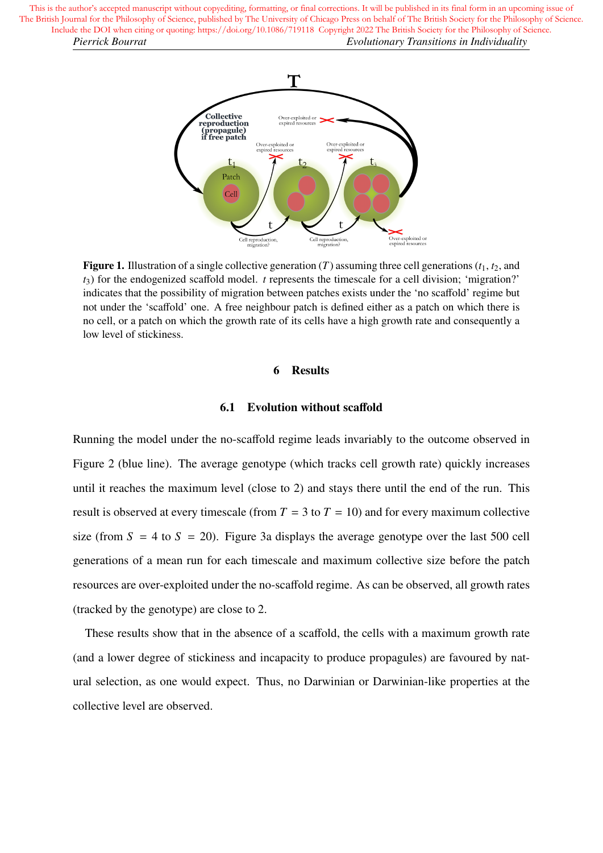> T Collective<br>reproduction Over-exploited or<br>expired resources (propagule)<br>if free patch Over-exploited or<br>expired resources Over-exploited or<br>expired resources  $t<sub>1</sub>$ Patch Cell Over-exploited or<br>expired resources Cell reproduction, Cell reproduction,<br>migration?

**Figure 1.** Illustration of a single collective generation  $(T)$  assuming three cell generations  $(t_1, t_2,$  and *t*3) for the endogenized scaffold model. *t* represents the timescale for a cell division; 'migration?' indicates that the possibility of migration between patches exists under the 'no scaffold' regime but not under the 'scaffold' one. A free neighbour patch is defined either as a patch on which there is no cell, or a patch on which the growth rate of its cells have a high growth rate and consequently a low level of stickiness.

#### 6 Results

#### 6.1 Evolution without scaffold

Running the model under the no-scaffold regime leads invariably to the outcome observed in Figure 2 (blue line). The average genotype (which tracks cell growth rate) quickly increases until it reaches the maximum level (close to 2) and stays there until the end of the run. This result is observed at every timescale (from  $T = 3$  to  $T = 10$ ) and for every maximum collective size (from  $S = 4$  to  $S = 20$ ). Figure 3a displays the average genotype over the last 500 cell generations of a mean run for each timescale and maximum collective size before the patch resources are over-exploited under the no-scaffold regime. As can be observed, all growth rates (tracked by the genotype) are close to 2.

These results show that in the absence of a scaffold, the cells with a maximum growth rate (and a lower degree of stickiness and incapacity to produce propagules) are favoured by natural selection, as one would expect. Thus, no Darwinian or Darwinian-like properties at the collective level are observed.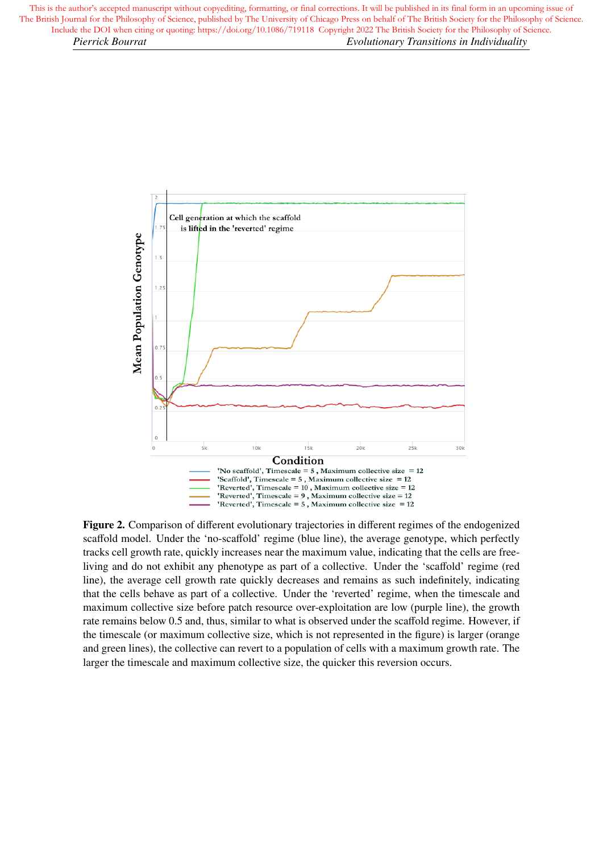

Figure 2. Comparison of different evolutionary trajectories in different regimes of the endogenized scaffold model. Under the 'no-scaffold' regime (blue line), the average genotype, which perfectly tracks cell growth rate, quickly increases near the maximum value, indicating that the cells are freeliving and do not exhibit any phenotype as part of a collective. Under the 'scaffold' regime (red line), the average cell growth rate quickly decreases and remains as such indefinitely, indicating that the cells behave as part of a collective. Under the 'reverted' regime, when the timescale and maximum collective size before patch resource over-exploitation are low (purple line), the growth rate remains below 0.5 and, thus, similar to what is observed under the scaffold regime. However, if the timescale (or maximum collective size, which is not represented in the figure) is larger (orange and green lines), the collective can revert to a population of cells with a maximum growth rate. The larger the timescale and maximum collective size, the quicker this reversion occurs.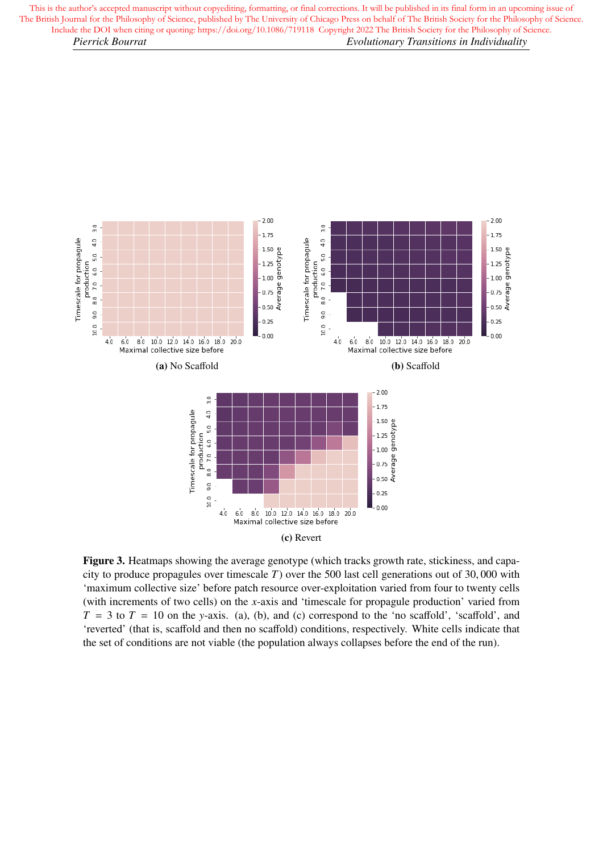

Figure 3. Heatmaps showing the average genotype (which tracks growth rate, stickiness, and capacity to produce propagules over timescale *<sup>T</sup>*) over the 500 last cell generations out of 30, 000 with 'maximum collective size' before patch resource over-exploitation varied from four to twenty cells (with increments of two cells) on the *x*-axis and 'timescale for propagule production' varied from  $T = 3$  to  $T = 10$  on the *y*-axis. (a), (b), and (c) correspond to the 'no scaffold', 'scaffold', and 'reverted' (that is, scaffold and then no scaffold) conditions, respectively. White cells indicate that the set of conditions are not viable (the population always collapses before the end of the run).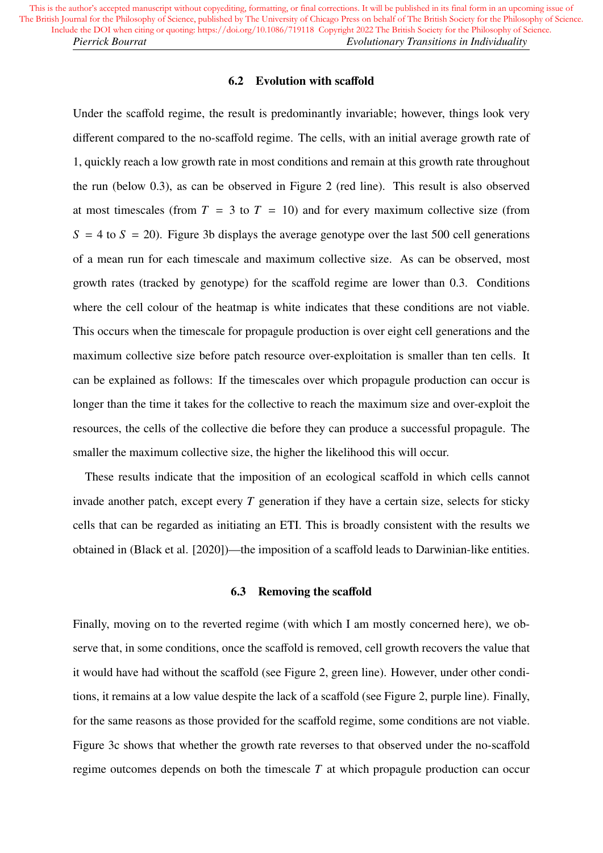# 6.2 Evolution with scaffold

Under the scaffold regime, the result is predominantly invariable; however, things look very different compared to the no-scaffold regime. The cells, with an initial average growth rate of 1, quickly reach a low growth rate in most conditions and remain at this growth rate throughout the run (below 0.3), as can be observed in Figure 2 (red line). This result is also observed at most timescales (from  $T = 3$  to  $T = 10$ ) and for every maximum collective size (from  $S = 4$  to  $S = 20$ ). Figure 3b displays the average genotype over the last 500 cell generations of a mean run for each timescale and maximum collective size. As can be observed, most growth rates (tracked by genotype) for the scaffold regime are lower than 0.3. Conditions where the cell colour of the heatmap is white indicates that these conditions are not viable. This occurs when the timescale for propagule production is over eight cell generations and the maximum collective size before patch resource over-exploitation is smaller than ten cells. It can be explained as follows: If the timescales over which propagule production can occur is longer than the time it takes for the collective to reach the maximum size and over-exploit the resources, the cells of the collective die before they can produce a successful propagule. The smaller the maximum collective size, the higher the likelihood this will occur.

These results indicate that the imposition of an ecological scaffold in which cells cannot invade another patch, except every *T* generation if they have a certain size, selects for sticky cells that can be regarded as initiating an ETI. This is broadly consistent with the results we obtained in (Black et al. [2020])—the imposition of a scaffold leads to Darwinian-like entities.

# 6.3 Removing the scaffold

Finally, moving on to the reverted regime (with which I am mostly concerned here), we observe that, in some conditions, once the scaffold is removed, cell growth recovers the value that it would have had without the scaffold (see Figure 2, green line). However, under other conditions, it remains at a low value despite the lack of a scaffold (see Figure 2, purple line). Finally, for the same reasons as those provided for the scaffold regime, some conditions are not viable. Figure 3c shows that whether the growth rate reverses to that observed under the no-scaffold regime outcomes depends on both the timescale *T* at which propagule production can occur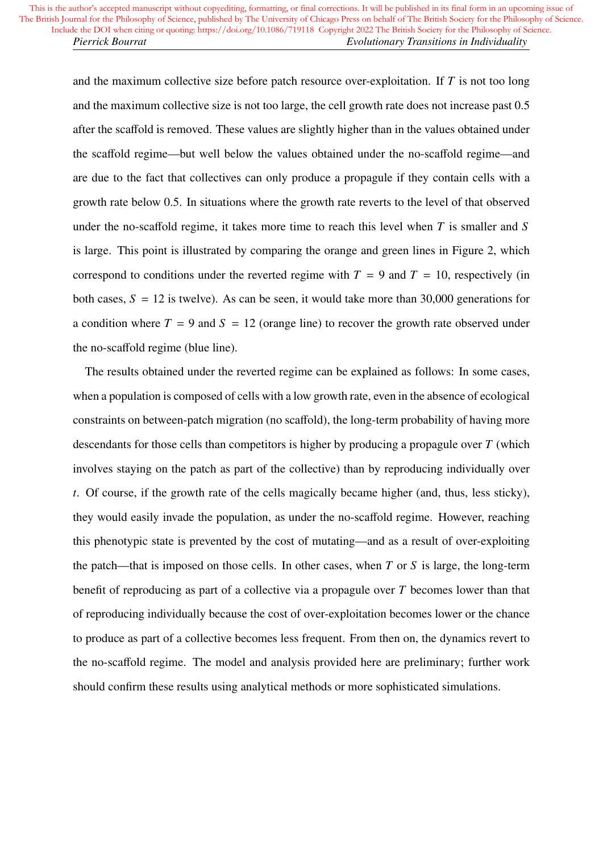and the maximum collective size before patch resource over-exploitation. If *T* is not too long and the maximum collective size is not too large, the cell growth rate does not increase past 0.<sup>5</sup> after the scaffold is removed. These values are slightly higher than in the values obtained under the scaffold regime—but well below the values obtained under the no-scaffold regime—and are due to the fact that collectives can only produce a propagule if they contain cells with a growth rate below 0.5. In situations where the growth rate reverts to the level of that observed under the no-scaffold regime, it takes more time to reach this level when *T* is smaller and *S* is large. This point is illustrated by comparing the orange and green lines in Figure 2, which correspond to conditions under the reverted regime with  $T = 9$  and  $T = 10$ , respectively (in both cases,  $S = 12$  is twelve). As can be seen, it would take more than 30,000 generations for a condition where  $T = 9$  and  $S = 12$  (orange line) to recover the growth rate observed under the no-scaffold regime (blue line).

The results obtained under the reverted regime can be explained as follows: In some cases, when a population is composed of cells with a low growth rate, even in the absence of ecological constraints on between-patch migration (no scaffold), the long-term probability of having more descendants for those cells than competitors is higher by producing a propagule over *T* (which involves staying on the patch as part of the collective) than by reproducing individually over *t*. Of course, if the growth rate of the cells magically became higher (and, thus, less sticky), they would easily invade the population, as under the no-scaffold regime. However, reaching this phenotypic state is prevented by the cost of mutating—and as a result of over-exploiting the patch—that is imposed on those cells. In other cases, when *T* or *S* is large, the long-term benefit of reproducing as part of a collective via a propagule over *T* becomes lower than that of reproducing individually because the cost of over-exploitation becomes lower or the chance to produce as part of a collective becomes less frequent. From then on, the dynamics revert to the no-scaffold regime. The model and analysis provided here are preliminary; further work should confirm these results using analytical methods or more sophisticated simulations.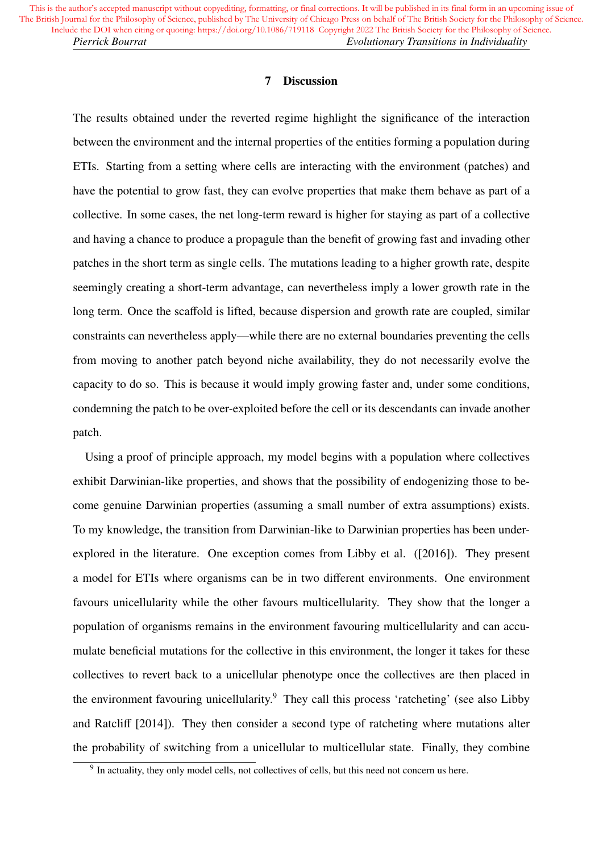# 7 Discussion

The results obtained under the reverted regime highlight the significance of the interaction between the environment and the internal properties of the entities forming a population during ETIs. Starting from a setting where cells are interacting with the environment (patches) and have the potential to grow fast, they can evolve properties that make them behave as part of a collective. In some cases, the net long-term reward is higher for staying as part of a collective and having a chance to produce a propagule than the benefit of growing fast and invading other patches in the short term as single cells. The mutations leading to a higher growth rate, despite seemingly creating a short-term advantage, can nevertheless imply a lower growth rate in the long term. Once the scaffold is lifted, because dispersion and growth rate are coupled, similar constraints can nevertheless apply—while there are no external boundaries preventing the cells from moving to another patch beyond niche availability, they do not necessarily evolve the capacity to do so. This is because it would imply growing faster and, under some conditions, condemning the patch to be over-exploited before the cell or its descendants can invade another patch.

Using a proof of principle approach, my model begins with a population where collectives exhibit Darwinian-like properties, and shows that the possibility of endogenizing those to become genuine Darwinian properties (assuming a small number of extra assumptions) exists. To my knowledge, the transition from Darwinian-like to Darwinian properties has been underexplored in the literature. One exception comes from Libby et al. ([2016]). They present a model for ETIs where organisms can be in two different environments. One environment favours unicellularity while the other favours multicellularity. They show that the longer a population of organisms remains in the environment favouring multicellularity and can accumulate beneficial mutations for the collective in this environment, the longer it takes for these collectives to revert back to a unicellular phenotype once the collectives are then placed in the environment favouring unicellularity.<sup>9</sup> They call this process 'ratcheting' (see also Libby and Ratcliff [2014]). They then consider a second type of ratcheting where mutations alter the probability of switching from a unicellular to multicellular state. Finally, they combine

<sup>&</sup>lt;sup>9</sup> In actuality, they only model cells, not collectives of cells, but this need not concern us here.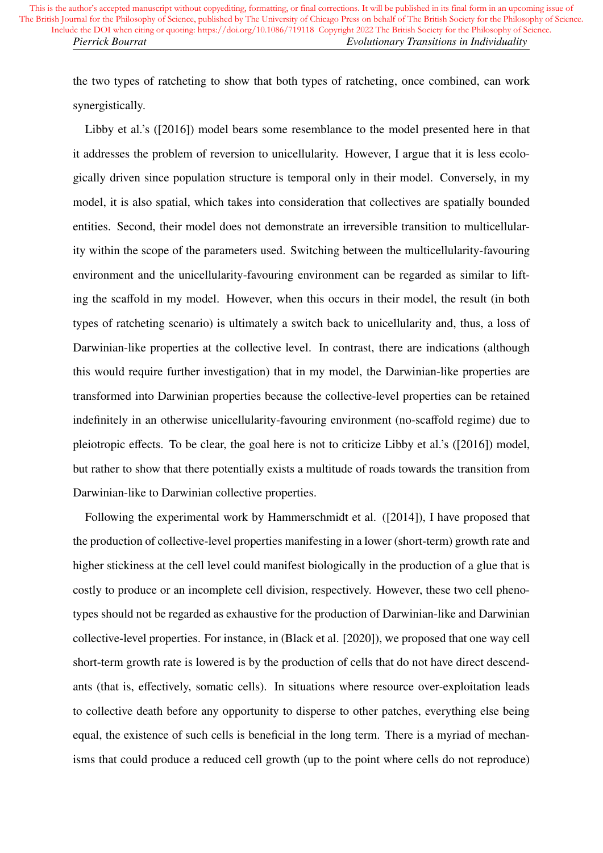the two types of ratcheting to show that both types of ratcheting, once combined, can work synergistically.

Libby et al.'s ([2016]) model bears some resemblance to the model presented here in that it addresses the problem of reversion to unicellularity. However, I argue that it is less ecologically driven since population structure is temporal only in their model. Conversely, in my model, it is also spatial, which takes into consideration that collectives are spatially bounded entities. Second, their model does not demonstrate an irreversible transition to multicellularity within the scope of the parameters used. Switching between the multicellularity-favouring environment and the unicellularity-favouring environment can be regarded as similar to lifting the scaffold in my model. However, when this occurs in their model, the result (in both types of ratcheting scenario) is ultimately a switch back to unicellularity and, thus, a loss of Darwinian-like properties at the collective level. In contrast, there are indications (although this would require further investigation) that in my model, the Darwinian-like properties are transformed into Darwinian properties because the collective-level properties can be retained indefinitely in an otherwise unicellularity-favouring environment (no-scaffold regime) due to pleiotropic effects. To be clear, the goal here is not to criticize Libby et al.'s ([2016]) model, but rather to show that there potentially exists a multitude of roads towards the transition from Darwinian-like to Darwinian collective properties.

Following the experimental work by Hammerschmidt et al. ([2014]), I have proposed that the production of collective-level properties manifesting in a lower (short-term) growth rate and higher stickiness at the cell level could manifest biologically in the production of a glue that is costly to produce or an incomplete cell division, respectively. However, these two cell phenotypes should not be regarded as exhaustive for the production of Darwinian-like and Darwinian collective-level properties. For instance, in (Black et al. [2020]), we proposed that one way cell short-term growth rate is lowered is by the production of cells that do not have direct descendants (that is, effectively, somatic cells). In situations where resource over-exploitation leads to collective death before any opportunity to disperse to other patches, everything else being equal, the existence of such cells is beneficial in the long term. There is a myriad of mechanisms that could produce a reduced cell growth (up to the point where cells do not reproduce)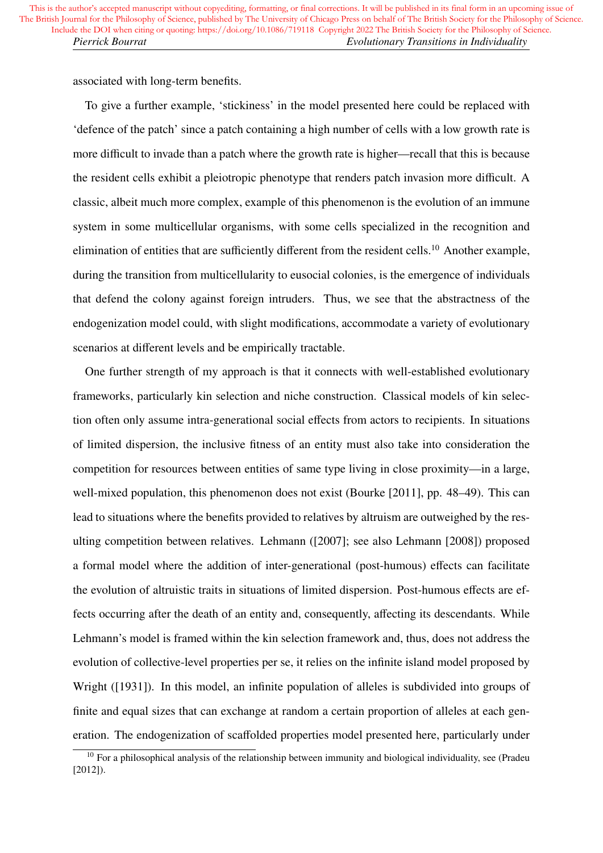associated with long-term benefits.

To give a further example, 'stickiness' in the model presented here could be replaced with 'defence of the patch' since a patch containing a high number of cells with a low growth rate is more difficult to invade than a patch where the growth rate is higher—recall that this is because the resident cells exhibit a pleiotropic phenotype that renders patch invasion more difficult. A classic, albeit much more complex, example of this phenomenon is the evolution of an immune system in some multicellular organisms, with some cells specialized in the recognition and elimination of entities that are sufficiently different from the resident cells.<sup>10</sup> Another example, during the transition from multicellularity to eusocial colonies, is the emergence of individuals that defend the colony against foreign intruders. Thus, we see that the abstractness of the endogenization model could, with slight modifications, accommodate a variety of evolutionary scenarios at different levels and be empirically tractable.

One further strength of my approach is that it connects with well-established evolutionary frameworks, particularly kin selection and niche construction. Classical models of kin selection often only assume intra-generational social effects from actors to recipients. In situations of limited dispersion, the inclusive fitness of an entity must also take into consideration the competition for resources between entities of same type living in close proximity—in a large, well-mixed population, this phenomenon does not exist (Bourke [2011], pp. 48–49). This can lead to situations where the benefits provided to relatives by altruism are outweighed by the resulting competition between relatives. Lehmann ([2007]; see also Lehmann [2008]) proposed a formal model where the addition of inter-generational (post-humous) effects can facilitate the evolution of altruistic traits in situations of limited dispersion. Post-humous effects are effects occurring after the death of an entity and, consequently, affecting its descendants. While Lehmann's model is framed within the kin selection framework and, thus, does not address the evolution of collective-level properties per se, it relies on the infinite island model proposed by Wright ([1931]). In this model, an infinite population of alleles is subdivided into groups of finite and equal sizes that can exchange at random a certain proportion of alleles at each generation. The endogenization of scaffolded properties model presented here, particularly under

<sup>&</sup>lt;sup>10</sup> For a philosophical analysis of the relationship between immunity and biological individuality, see (Pradeu [2012]).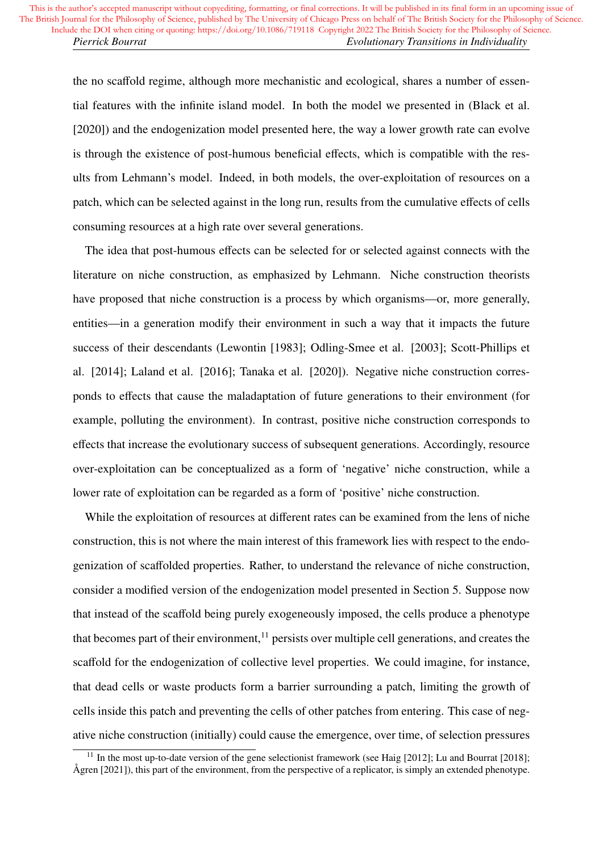the no scaffold regime, although more mechanistic and ecological, shares a number of essential features with the infinite island model. In both the model we presented in (Black et al. [2020]) and the endogenization model presented here, the way a lower growth rate can evolve is through the existence of post-humous beneficial effects, which is compatible with the results from Lehmann's model. Indeed, in both models, the over-exploitation of resources on a patch, which can be selected against in the long run, results from the cumulative effects of cells consuming resources at a high rate over several generations.

The idea that post-humous effects can be selected for or selected against connects with the literature on niche construction, as emphasized by Lehmann. Niche construction theorists have proposed that niche construction is a process by which organisms—or, more generally, entities—in a generation modify their environment in such a way that it impacts the future success of their descendants (Lewontin [1983]; Odling-Smee et al. [2003]; Scott-Phillips et al. [2014]; Laland et al. [2016]; Tanaka et al. [2020]). Negative niche construction corresponds to effects that cause the maladaptation of future generations to their environment (for example, polluting the environment). In contrast, positive niche construction corresponds to effects that increase the evolutionary success of subsequent generations. Accordingly, resource over-exploitation can be conceptualized as a form of 'negative' niche construction, while a lower rate of exploitation can be regarded as a form of 'positive' niche construction.

While the exploitation of resources at different rates can be examined from the lens of niche construction, this is not where the main interest of this framework lies with respect to the endogenization of scaffolded properties. Rather, to understand the relevance of niche construction, consider a modified version of the endogenization model presented in Section 5. Suppose now that instead of the scaffold being purely exogeneously imposed, the cells produce a phenotype that becomes part of their environment,<sup>11</sup> persists over multiple cell generations, and creates the scaffold for the endogenization of collective level properties. We could imagine, for instance, that dead cells or waste products form a barrier surrounding a patch, limiting the growth of cells inside this patch and preventing the cells of other patches from entering. This case of negative niche construction (initially) could cause the emergence, over time, of selection pressures

<sup>&</sup>lt;sup>11</sup> In the most up-to-date version of the gene selectionist framework (see Haig [2012]; Lu and Bourrat [2018]; Ågren [2021]), this part of the environment, from the perspective of a replicator, is simply an extended phenotype.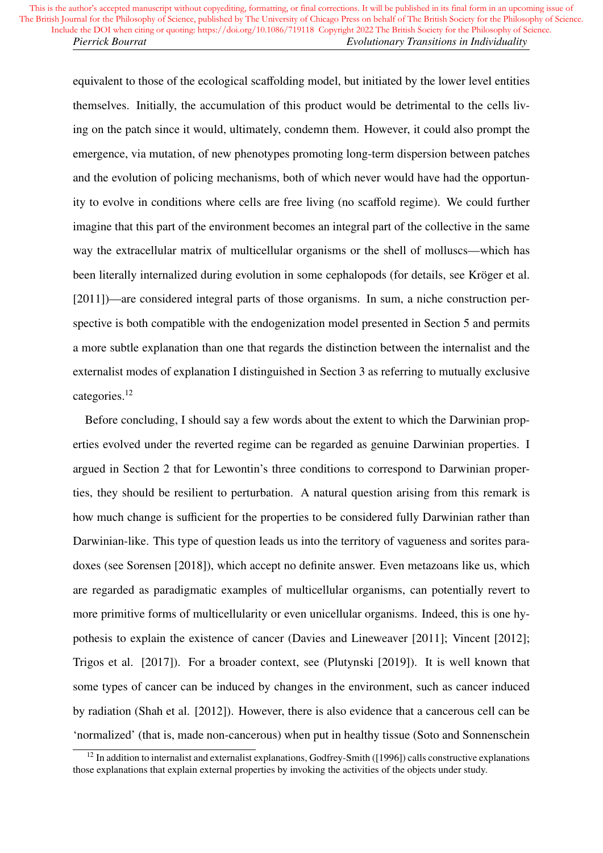equivalent to those of the ecological scaffolding model, but initiated by the lower level entities themselves. Initially, the accumulation of this product would be detrimental to the cells living on the patch since it would, ultimately, condemn them. However, it could also prompt the emergence, via mutation, of new phenotypes promoting long-term dispersion between patches and the evolution of policing mechanisms, both of which never would have had the opportunity to evolve in conditions where cells are free living (no scaffold regime). We could further imagine that this part of the environment becomes an integral part of the collective in the same way the extracellular matrix of multicellular organisms or the shell of molluscs—which has been literally internalized during evolution in some cephalopods (for details, see Kröger et al. [2011])—are considered integral parts of those organisms. In sum, a niche construction perspective is both compatible with the endogenization model presented in Section 5 and permits a more subtle explanation than one that regards the distinction between the internalist and the externalist modes of explanation I distinguished in Section 3 as referring to mutually exclusive categories.<sup>12</sup>

Before concluding, I should say a few words about the extent to which the Darwinian properties evolved under the reverted regime can be regarded as genuine Darwinian properties. I argued in Section 2 that for Lewontin's three conditions to correspond to Darwinian properties, they should be resilient to perturbation. A natural question arising from this remark is how much change is sufficient for the properties to be considered fully Darwinian rather than Darwinian-like. This type of question leads us into the territory of vagueness and sorites paradoxes (see Sorensen [2018]), which accept no definite answer. Even metazoans like us, which are regarded as paradigmatic examples of multicellular organisms, can potentially revert to more primitive forms of multicellularity or even unicellular organisms. Indeed, this is one hypothesis to explain the existence of cancer (Davies and Lineweaver [2011]; Vincent [2012]; Trigos et al. [2017]). For a broader context, see (Plutynski [2019]). It is well known that some types of cancer can be induced by changes in the environment, such as cancer induced by radiation (Shah et al. [2012]). However, there is also evidence that a cancerous cell can be 'normalized' (that is, made non-cancerous) when put in healthy tissue (Soto and Sonnenschein

 $12$  In addition to internalist and externalist explanations, Godfrey-Smith ([1996]) calls constructive explanations those explanations that explain external properties by invoking the activities of the objects under study.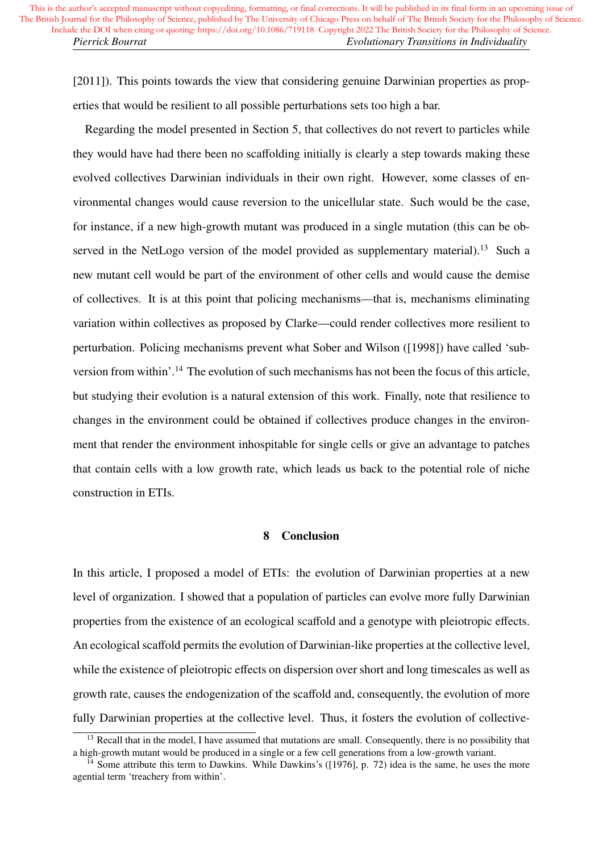[2011]). This points towards the view that considering genuine Darwinian properties as properties that would be resilient to all possible perturbations sets too high a bar.

Regarding the model presented in Section 5, that collectives do not revert to particles while they would have had there been no scaffolding initially is clearly a step towards making these evolved collectives Darwinian individuals in their own right. However, some classes of environmental changes would cause reversion to the unicellular state. Such would be the case, for instance, if a new high-growth mutant was produced in a single mutation (this can be observed in the NetLogo version of the model provided as supplementary material).<sup>13</sup> Such a new mutant cell would be part of the environment of other cells and would cause the demise of collectives. It is at this point that policing mechanisms—that is, mechanisms eliminating variation within collectives as proposed by Clarke—could render collectives more resilient to perturbation. Policing mechanisms prevent what Sober and Wilson ([1998]) have called 'subversion from within'.<sup>14</sup> The evolution of such mechanisms has not been the focus of this article, but studying their evolution is a natural extension of this work. Finally, note that resilience to changes in the environment could be obtained if collectives produce changes in the environment that render the environment inhospitable for single cells or give an advantage to patches that contain cells with a low growth rate, which leads us back to the potential role of niche construction in ETIs.

#### 8 Conclusion

In this article, I proposed a model of ETIs: the evolution of Darwinian properties at a new level of organization. I showed that a population of particles can evolve more fully Darwinian properties from the existence of an ecological scaffold and a genotype with pleiotropic effects. An ecological scaffold permits the evolution of Darwinian-like properties at the collective level, while the existence of pleiotropic effects on dispersion over short and long timescales as well as growth rate, causes the endogenization of the scaffold and, consequently, the evolution of more fully Darwinian properties at the collective level. Thus, it fosters the evolution of collective-

<sup>&</sup>lt;sup>13</sup> Recall that in the model, I have assumed that mutations are small. Consequently, there is no possibility that a high-growth mutant would be produced in a single or a few cell generations from a low-growth variant.

<sup>&</sup>lt;sup>14</sup> Some attribute this term to Dawkins. While Dawkins's ([1976], p. 72) idea is the same, he uses the more agential term 'treachery from within'.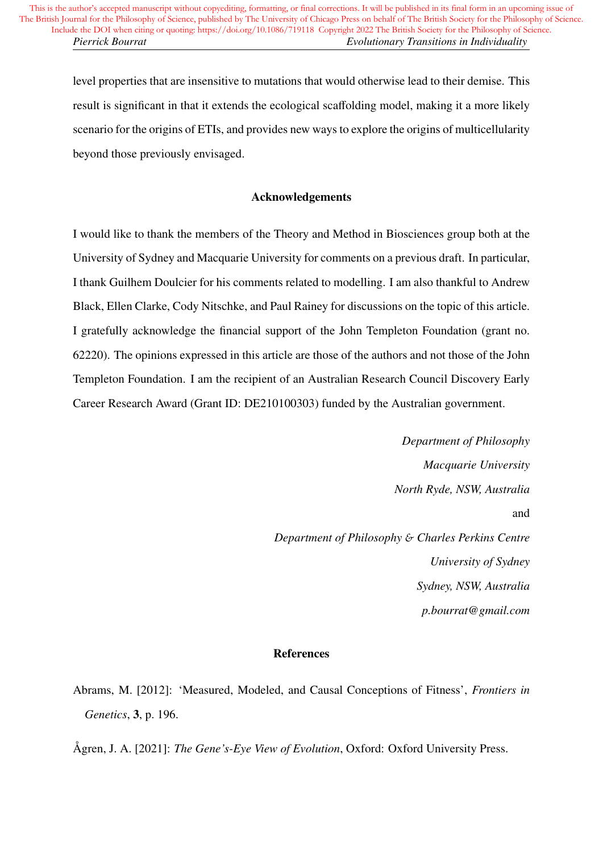level properties that are insensitive to mutations that would otherwise lead to their demise. This result is significant in that it extends the ecological scaffolding model, making it a more likely scenario for the origins of ETIs, and provides new ways to explore the origins of multicellularity beyond those previously envisaged.

# Acknowledgements

I would like to thank the members of the Theory and Method in Biosciences group both at the University of Sydney and Macquarie University for comments on a previous draft. In particular, I thank Guilhem Doulcier for his comments related to modelling. I am also thankful to Andrew Black, Ellen Clarke, Cody Nitschke, and Paul Rainey for discussions on the topic of this article. I gratefully acknowledge the financial support of the John Templeton Foundation (grant no. 62220). The opinions expressed in this article are those of the authors and not those of the John Templeton Foundation. I am the recipient of an Australian Research Council Discovery Early Career Research Award (Grant ID: DE210100303) funded by the Australian government.

> *Department of Philosophy Macquarie University North Ryde, NSW, Australia* and *Department of Philosophy* & *Charles Perkins Centre University of Sydney Sydney, NSW, Australia p.bourrat@gmail.com*

# References

Ågren, J. A. [2021]: *The Gene's-Eye View of Evolution*, Oxford: Oxford University Press.

Abrams, M. [2012]: 'Measured, Modeled, and Causal Conceptions of Fitness', *Frontiers in Genetics*, 3, p. 196.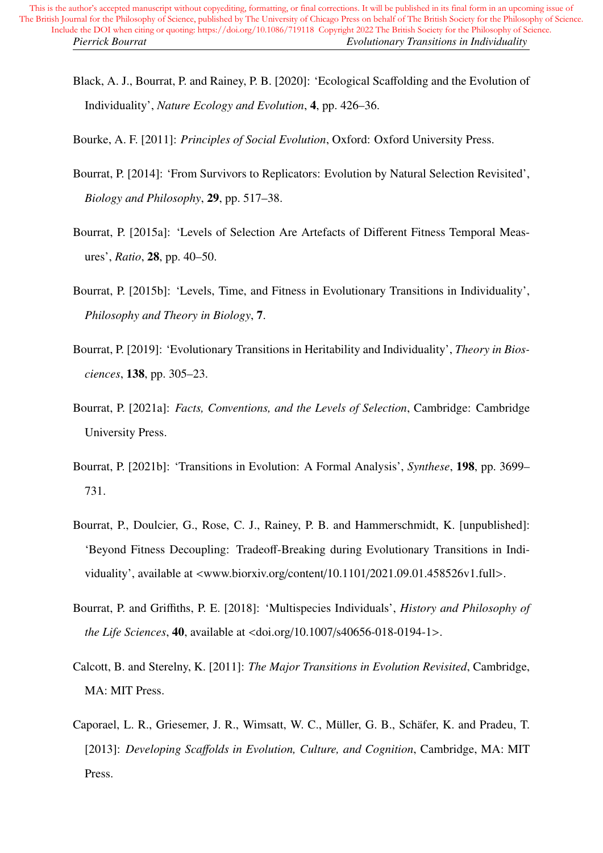Black, A. J., Bourrat, P. and Rainey, P. B. [2020]: 'Ecological Scaffolding and the Evolution of Individuality', *Nature Ecology and Evolution*, 4, pp. 426–36.

Bourke, A. F. [2011]: *Principles of Social Evolution*, Oxford: Oxford University Press.

- Bourrat, P. [2014]: 'From Survivors to Replicators: Evolution by Natural Selection Revisited', *Biology and Philosophy*, 29, pp. 517–38.
- Bourrat, P. [2015a]: 'Levels of Selection Are Artefacts of Different Fitness Temporal Measures', *Ratio*, 28, pp. 40–50.
- Bourrat, P. [2015b]: 'Levels, Time, and Fitness in Evolutionary Transitions in Individuality', *Philosophy and Theory in Biology*, 7.
- Bourrat, P. [2019]: 'Evolutionary Transitions in Heritability and Individuality', *Theory in Biosciences*, 138, pp. 305–23.
- Bourrat, P. [2021a]: *Facts, Conventions, and the Levels of Selection*, Cambridge: Cambridge University Press.
- Bourrat, P. [2021b]: 'Transitions in Evolution: A Formal Analysis', *Synthese*, 198, pp. 3699– 731.
- Bourrat, P., Doulcier, G., Rose, C. J., Rainey, P. B. and Hammerschmidt, K. [unpublished]: 'Beyond Fitness Decoupling: Tradeoff-Breaking during Evolutionary Transitions in Individuality', available at <www.biorxiv.org/content/10.1101/2021.09.01.458526v1.full>.
- Bourrat, P. and Griffiths, P. E. [2018]: 'Multispecies Individuals', *History and Philosophy of the Life Sciences*, 40, available at <doi.org/10.1007/s40656-018-0194-1>.
- Calcott, B. and Sterelny, K. [2011]: *The Major Transitions in Evolution Revisited*, Cambridge, MA: MIT Press.
- Caporael, L. R., Griesemer, J. R., Wimsatt, W. C., Müller, G. B., Schäfer, K. and Pradeu, T. [2013]: *Developing Sca*ff*olds in Evolution, Culture, and Cognition*, Cambridge, MA: MIT Press.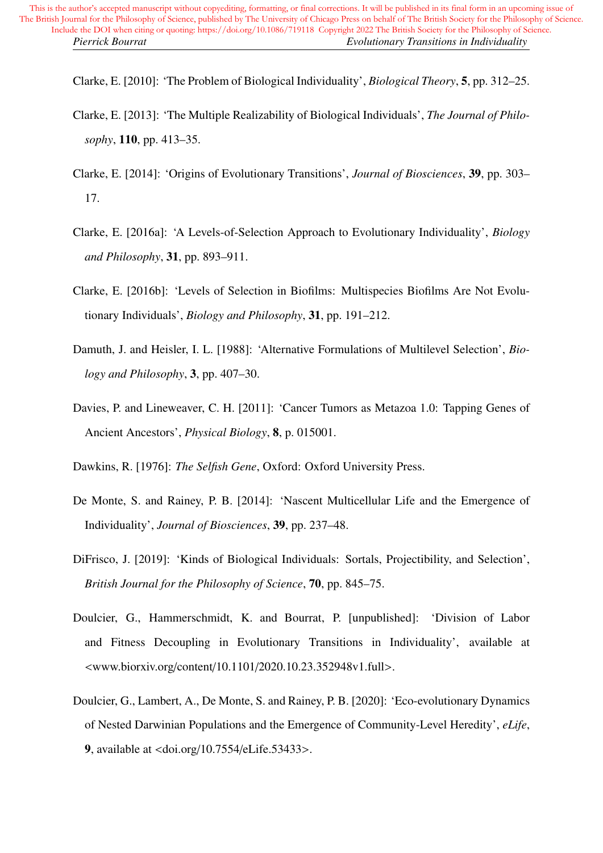Clarke, E. [2010]: 'The Problem of Biological Individuality', *Biological Theory*, 5, pp. 312–25.

- Clarke, E. [2013]: 'The Multiple Realizability of Biological Individuals', *The Journal of Philosophy*, 110, pp. 413–35.
- Clarke, E. [2014]: 'Origins of Evolutionary Transitions', *Journal of Biosciences*, 39, pp. 303– 17.
- Clarke, E. [2016a]: 'A Levels-of-Selection Approach to Evolutionary Individuality', *Biology and Philosophy*, 31, pp. 893–911.
- Clarke, E. [2016b]: 'Levels of Selection in Biofilms: Multispecies Biofilms Are Not Evolutionary Individuals', *Biology and Philosophy*, 31, pp. 191–212.
- Damuth, J. and Heisler, I. L. [1988]: 'Alternative Formulations of Multilevel Selection', *Biology and Philosophy*, 3, pp. 407–30.
- Davies, P. and Lineweaver, C. H. [2011]: 'Cancer Tumors as Metazoa 1.0: Tapping Genes of Ancient Ancestors', *Physical Biology*, 8, p. 015001.
- Dawkins, R. [1976]: *The Selfish Gene*, Oxford: Oxford University Press.
- De Monte, S. and Rainey, P. B. [2014]: 'Nascent Multicellular Life and the Emergence of Individuality', *Journal of Biosciences*, 39, pp. 237–48.
- DiFrisco, J. [2019]: 'Kinds of Biological Individuals: Sortals, Projectibility, and Selection', *British Journal for the Philosophy of Science*, 70, pp. 845–75.
- Doulcier, G., Hammerschmidt, K. and Bourrat, P. [unpublished]: 'Division of Labor and Fitness Decoupling in Evolutionary Transitions in Individuality', available at <www.biorxiv.org/content/10.1101/2020.10.23.352948v1.full>.
- Doulcier, G., Lambert, A., De Monte, S. and Rainey, P. B. [2020]: 'Eco-evolutionary Dynamics of Nested Darwinian Populations and the Emergence of Community-Level Heredity', *eLife*, 9, available at <doi.org/10.7554/eLife.53433>.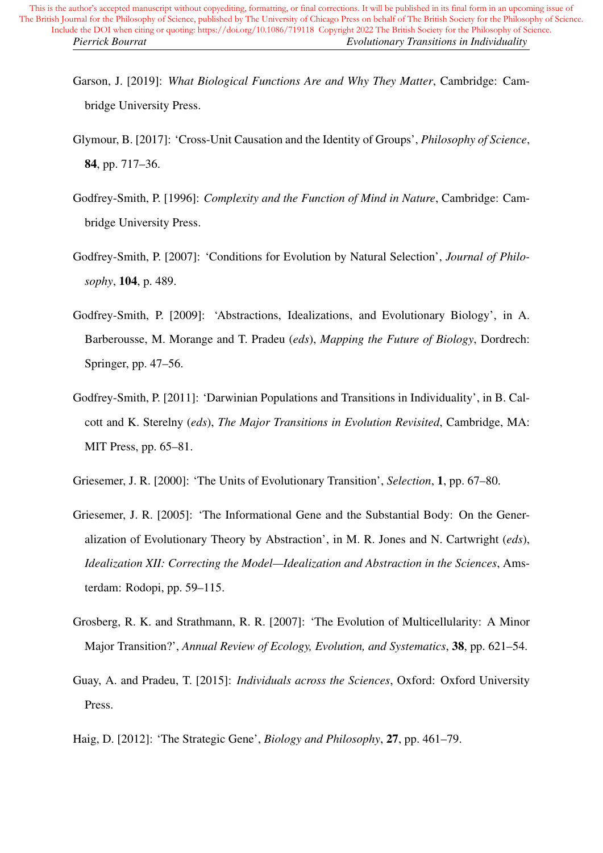- Garson, J. [2019]: *What Biological Functions Are and Why They Matter*, Cambridge: Cambridge University Press.
- Glymour, B. [2017]: 'Cross-Unit Causation and the Identity of Groups', *Philosophy of Science*, 84, pp. 717–36.
- Godfrey-Smith, P. [1996]: *Complexity and the Function of Mind in Nature*, Cambridge: Cambridge University Press.
- Godfrey-Smith, P. [2007]: 'Conditions for Evolution by Natural Selection', *Journal of Philosophy*, 104, p. 489.
- Godfrey-Smith, P. [2009]: 'Abstractions, Idealizations, and Evolutionary Biology', in A. Barberousse, M. Morange and T. Pradeu (*eds*), *Mapping the Future of Biology*, Dordrech: Springer, pp. 47–56.
- Godfrey-Smith, P. [2011]: 'Darwinian Populations and Transitions in Individuality', in B. Calcott and K. Sterelny (*eds*), *The Major Transitions in Evolution Revisited*, Cambridge, MA: MIT Press, pp. 65–81.
- Griesemer, J. R. [2000]: 'The Units of Evolutionary Transition', *Selection*, 1, pp. 67–80.
- Griesemer, J. R. [2005]: 'The Informational Gene and the Substantial Body: On the Generalization of Evolutionary Theory by Abstraction', in M. R. Jones and N. Cartwright (*eds*), *Idealization XII: Correcting the Model—Idealization and Abstraction in the Sciences*, Amsterdam: Rodopi, pp. 59–115.
- Grosberg, R. K. and Strathmann, R. R. [2007]: 'The Evolution of Multicellularity: A Minor Major Transition?', *Annual Review of Ecology, Evolution, and Systematics*, 38, pp. 621–54.
- Guay, A. and Pradeu, T. [2015]: *Individuals across the Sciences*, Oxford: Oxford University Press.
- Haig, D. [2012]: 'The Strategic Gene', *Biology and Philosophy*, 27, pp. 461–79.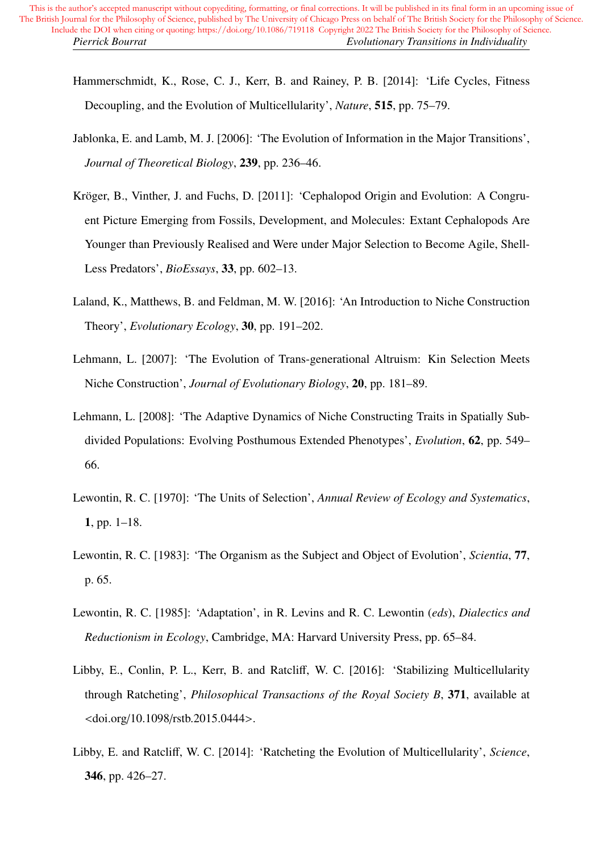- Hammerschmidt, K., Rose, C. J., Kerr, B. and Rainey, P. B. [2014]: 'Life Cycles, Fitness Decoupling, and the Evolution of Multicellularity', *Nature*, 515, pp. 75–79.
- Jablonka, E. and Lamb, M. J. [2006]: 'The Evolution of Information in the Major Transitions', *Journal of Theoretical Biology*, 239, pp. 236–46.
- Kröger, B., Vinther, J. and Fuchs, D. [2011]: 'Cephalopod Origin and Evolution: A Congruent Picture Emerging from Fossils, Development, and Molecules: Extant Cephalopods Are Younger than Previously Realised and Were under Major Selection to Become Agile, Shell-Less Predators', *BioEssays*, 33, pp. 602–13.
- Laland, K., Matthews, B. and Feldman, M. W. [2016]: 'An Introduction to Niche Construction Theory', *Evolutionary Ecology*, 30, pp. 191–202.
- Lehmann, L. [2007]: 'The Evolution of Trans-generational Altruism: Kin Selection Meets Niche Construction', *Journal of Evolutionary Biology*, 20, pp. 181–89.
- Lehmann, L. [2008]: 'The Adaptive Dynamics of Niche Constructing Traits in Spatially Subdivided Populations: Evolving Posthumous Extended Phenotypes', *Evolution*, 62, pp. 549– 66.
- Lewontin, R. C. [1970]: 'The Units of Selection', *Annual Review of Ecology and Systematics*, 1, pp. 1–18.
- Lewontin, R. C. [1983]: 'The Organism as the Subject and Object of Evolution', *Scientia*, 77, p. 65.
- Lewontin, R. C. [1985]: 'Adaptation', in R. Levins and R. C. Lewontin (*eds*), *Dialectics and Reductionism in Ecology*, Cambridge, MA: Harvard University Press, pp. 65–84.
- Libby, E., Conlin, P. L., Kerr, B. and Ratcliff, W. C. [2016]: 'Stabilizing Multicellularity through Ratcheting', *Philosophical Transactions of the Royal Society B*, 371, available at <doi.org/10.1098/rstb.2015.0444>.
- Libby, E. and Ratcliff, W. C. [2014]: 'Ratcheting the Evolution of Multicellularity', *Science*, 346, pp. 426–27.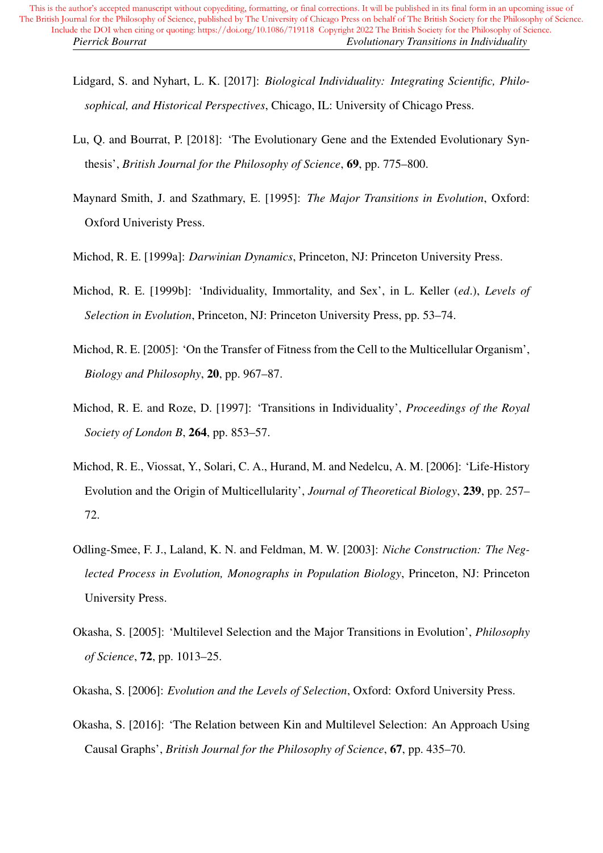- Lidgard, S. and Nyhart, L. K. [2017]: *Biological Individuality: Integrating Scientific, Philosophical, and Historical Perspectives*, Chicago, IL: University of Chicago Press.
- Lu, Q. and Bourrat, P. [2018]: 'The Evolutionary Gene and the Extended Evolutionary Synthesis', *British Journal for the Philosophy of Science*, 69, pp. 775–800.
- Maynard Smith, J. and Szathmary, E. [1995]: *The Major Transitions in Evolution*, Oxford: Oxford Univeristy Press.
- Michod, R. E. [1999a]: *Darwinian Dynamics*, Princeton, NJ: Princeton University Press.
- Michod, R. E. [1999b]: 'Individuality, Immortality, and Sex', in L. Keller (*ed*.), *Levels of Selection in Evolution*, Princeton, NJ: Princeton University Press, pp. 53–74.
- Michod, R. E. [2005]: 'On the Transfer of Fitness from the Cell to the Multicellular Organism', *Biology and Philosophy*, 20, pp. 967–87.
- Michod, R. E. and Roze, D. [1997]: 'Transitions in Individuality', *Proceedings of the Royal Society of London B*, 264, pp. 853–57.
- Michod, R. E., Viossat, Y., Solari, C. A., Hurand, M. and Nedelcu, A. M. [2006]: 'Life-History Evolution and the Origin of Multicellularity', *Journal of Theoretical Biology*, 239, pp. 257– 72.
- Odling-Smee, F. J., Laland, K. N. and Feldman, M. W. [2003]: *Niche Construction: The Neglected Process in Evolution, Monographs in Population Biology*, Princeton, NJ: Princeton University Press.
- Okasha, S. [2005]: 'Multilevel Selection and the Major Transitions in Evolution', *Philosophy of Science*, 72, pp. 1013–25.
- Okasha, S. [2006]: *Evolution and the Levels of Selection*, Oxford: Oxford University Press.
- Okasha, S. [2016]: 'The Relation between Kin and Multilevel Selection: An Approach Using Causal Graphs', *British Journal for the Philosophy of Science*, 67, pp. 435–70.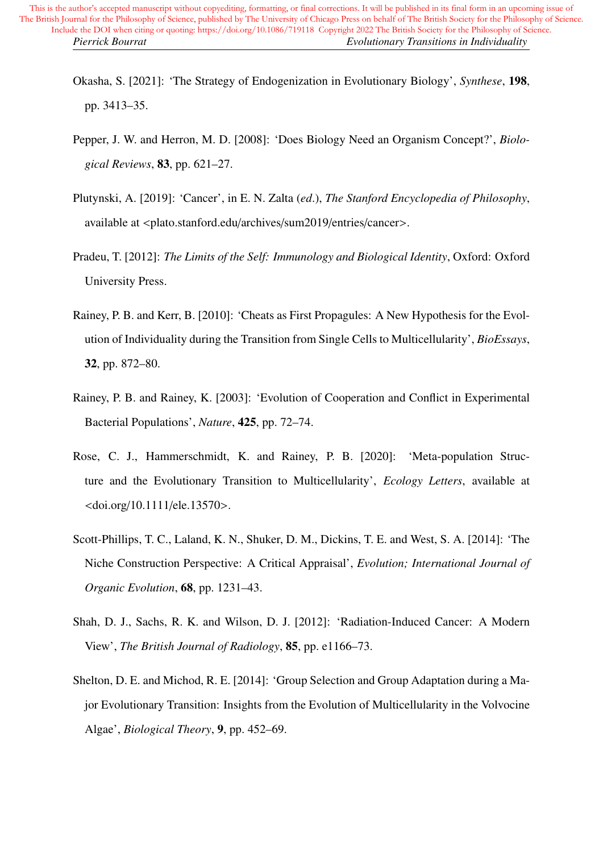- Okasha, S. [2021]: 'The Strategy of Endogenization in Evolutionary Biology', *Synthese*, 198, pp. 3413–35.
- Pepper, J. W. and Herron, M. D. [2008]: 'Does Biology Need an Organism Concept?', *Biological Reviews*, 83, pp. 621–27.
- Plutynski, A. [2019]: 'Cancer', in E. N. Zalta (*ed*.), *The Stanford Encyclopedia of Philosophy*, available at <plato.stanford.edu/archives/sum2019/entries/cancer>.
- Pradeu, T. [2012]: *The Limits of the Self: Immunology and Biological Identity*, Oxford: Oxford University Press.
- Rainey, P. B. and Kerr, B. [2010]: 'Cheats as First Propagules: A New Hypothesis for the Evolution of Individuality during the Transition from Single Cells to Multicellularity', *BioEssays*, 32, pp. 872–80.
- Rainey, P. B. and Rainey, K. [2003]: 'Evolution of Cooperation and Conflict in Experimental Bacterial Populations', *Nature*, 425, pp. 72–74.
- Rose, C. J., Hammerschmidt, K. and Rainey, P. B. [2020]: 'Meta-population Structure and the Evolutionary Transition to Multicellularity', *Ecology Letters*, available at <doi.org/10.1111/ele.13570>.
- Scott-Phillips, T. C., Laland, K. N., Shuker, D. M., Dickins, T. E. and West, S. A. [2014]: 'The Niche Construction Perspective: A Critical Appraisal', *Evolution; International Journal of Organic Evolution*, 68, pp. 1231–43.
- Shah, D. J., Sachs, R. K. and Wilson, D. J. [2012]: 'Radiation-Induced Cancer: A Modern View', *The British Journal of Radiology*, 85, pp. e1166–73.
- Shelton, D. E. and Michod, R. E. [2014]: 'Group Selection and Group Adaptation during a Major Evolutionary Transition: Insights from the Evolution of Multicellularity in the Volvocine Algae', *Biological Theory*, 9, pp. 452–69.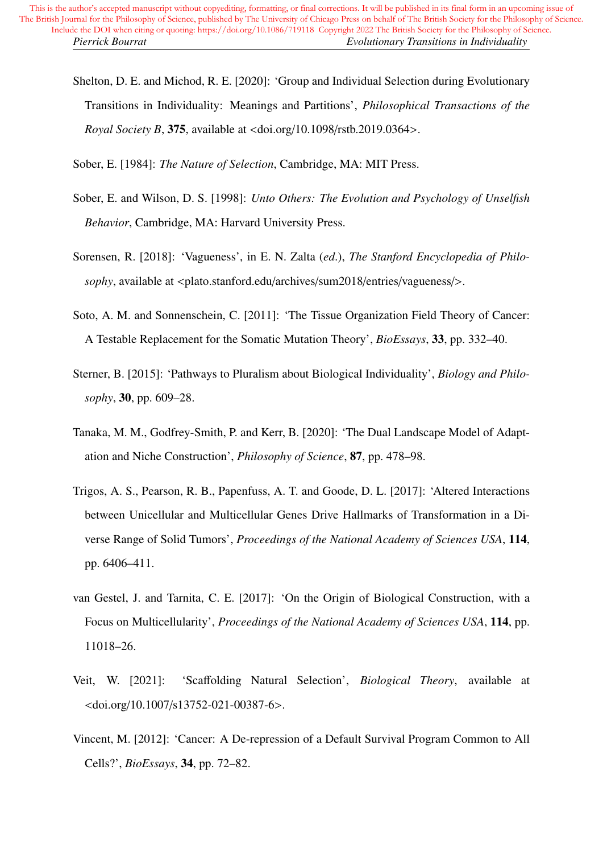Shelton, D. E. and Michod, R. E. [2020]: 'Group and Individual Selection during Evolutionary Transitions in Individuality: Meanings and Partitions', *Philosophical Transactions of the Royal Society B*, 375, available at <doi.org/10.1098/rstb.2019.0364>.

Sober, E. [1984]: *The Nature of Selection*, Cambridge, MA: MIT Press.

- Sober, E. and Wilson, D. S. [1998]: *Unto Others: The Evolution and Psychology of Unselfish Behavior*, Cambridge, MA: Harvard University Press.
- Sorensen, R. [2018]: 'Vagueness', in E. N. Zalta (*ed*.), *The Stanford Encyclopedia of Philosophy*, available at <plato.stanford.edu/archives/sum2018/entries/vagueness/>.
- Soto, A. M. and Sonnenschein, C. [2011]: 'The Tissue Organization Field Theory of Cancer: A Testable Replacement for the Somatic Mutation Theory', *BioEssays*, 33, pp. 332–40.
- Sterner, B. [2015]: 'Pathways to Pluralism about Biological Individuality', *Biology and Philosophy*, 30, pp. 609–28.
- Tanaka, M. M., Godfrey-Smith, P. and Kerr, B. [2020]: 'The Dual Landscape Model of Adaptation and Niche Construction', *Philosophy of Science*, 87, pp. 478–98.
- Trigos, A. S., Pearson, R. B., Papenfuss, A. T. and Goode, D. L. [2017]: 'Altered Interactions between Unicellular and Multicellular Genes Drive Hallmarks of Transformation in a Diverse Range of Solid Tumors', *Proceedings of the National Academy of Sciences USA*, 114, pp. 6406–411.
- van Gestel, J. and Tarnita, C. E. [2017]: 'On the Origin of Biological Construction, with a Focus on Multicellularity', *Proceedings of the National Academy of Sciences USA*, 114, pp. 11018–26.
- Veit, W. [2021]: 'Scaffolding Natural Selection', *Biological Theory*, available at <doi.org/10.1007/s13752-021-00387-6>.
- Vincent, M. [2012]: 'Cancer: A De-repression of a Default Survival Program Common to All Cells?', *BioEssays*, 34, pp. 72–82.